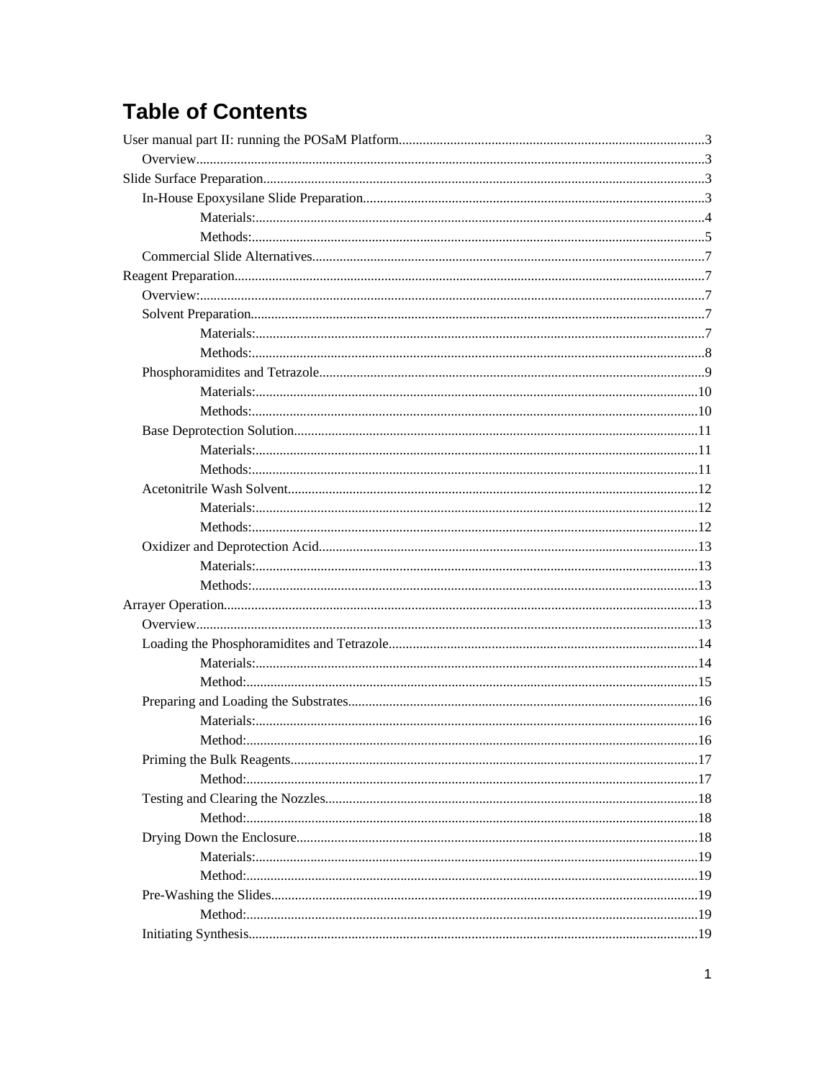# **Table of Contents**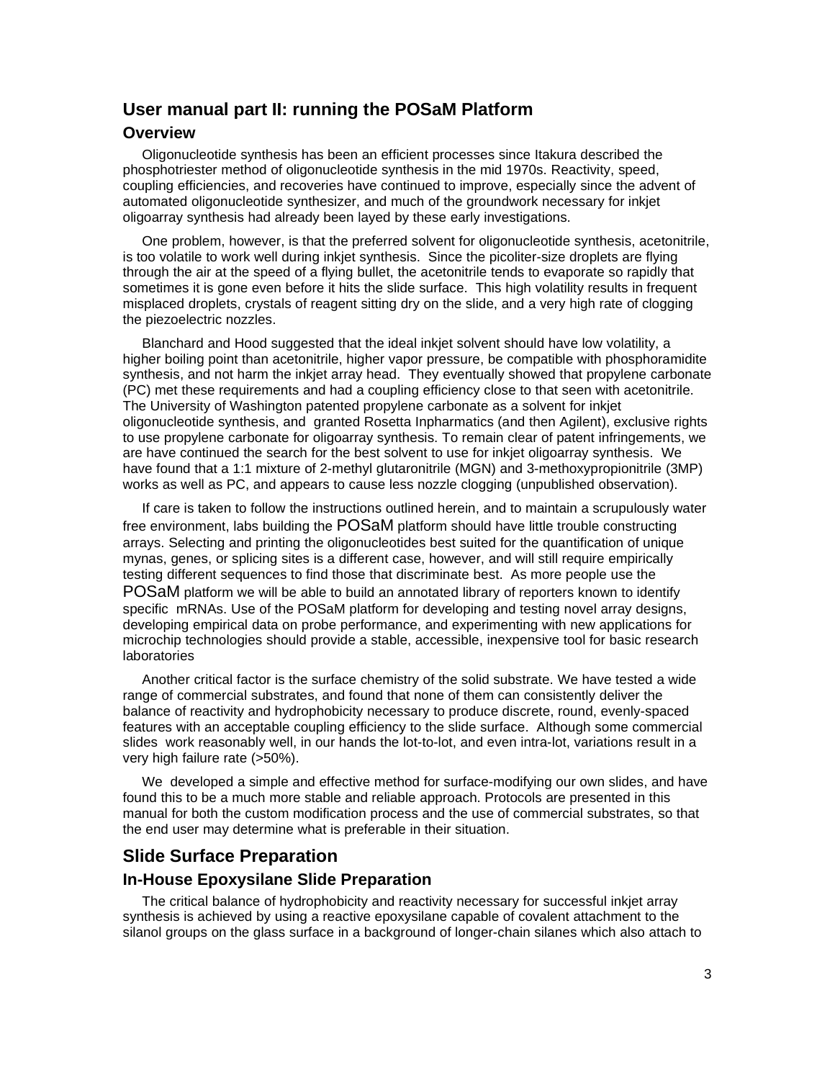## **User manual part II: running the POSaM Platform**

#### **Overview**

Oligonucleotide synthesis has been an efficient processes since Itakura described the phosphotriester method of oligonucleotide synthesis in the mid 1970s. Reactivity, speed, coupling efficiencies, and recoveries have continued to improve, especially since the advent of automated oligonucleotide synthesizer, and much of the groundwork necessary for inkjet oligoarray synthesis had already been layed by these early investigations.

One problem, however, is that the preferred solvent for oligonucleotide synthesis, acetonitrile, is too volatile to work well during inkjet synthesis. Since the picoliter-size droplets are flying through the air at the speed of a flying bullet, the acetonitrile tends to evaporate so rapidly that sometimes it is gone even before it hits the slide surface. This high volatility results in frequent misplaced droplets, crystals of reagent sitting dry on the slide, and a very high rate of clogging the piezoelectric nozzles.

Blanchard and Hood suggested that the ideal inkjet solvent should have low volatility, a higher boiling point than acetonitrile, higher vapor pressure, be compatible with phosphoramidite synthesis, and not harm the inkjet array head. They eventually showed that propylene carbonate (PC) met these requirements and had a coupling efficiency close to that seen with acetonitrile. The University of Washington patented propylene carbonate as a solvent for inkjet oligonucleotide synthesis, and granted Rosetta Inpharmatics (and then Agilent), exclusive rights to use propylene carbonate for oligoarray synthesis. To remain clear of patent infringements, we are have continued the search for the best solvent to use for inkjet oligoarray synthesis. We have found that a 1:1 mixture of 2-methyl glutaronitrile (MGN) and 3-methoxypropionitrile (3MP) works as well as PC, and appears to cause less nozzle clogging (unpublished observation).

If care is taken to follow the instructions outlined herein, and to maintain a scrupulously water free environment, labs building the POSaM platform should have little trouble constructing arrays. Selecting and printing the oligonucleotides best suited for the quantification of unique mynas, genes, or splicing sites is a different case, however, and will still require empirically testing different sequences to find those that discriminate best. As more people use the POSaM platform we will be able to build an annotated library of reporters known to identify specific mRNAs. Use of the POSaM platform for developing and testing novel array designs, developing empirical data on probe performance, and experimenting with new applications for microchip technologies should provide a stable, accessible, inexpensive tool for basic research laboratories

Another critical factor is the surface chemistry of the solid substrate. We have tested a wide range of commercial substrates, and found that none of them can consistently deliver the balance of reactivity and hydrophobicity necessary to produce discrete, round, evenly-spaced features with an acceptable coupling efficiency to the slide surface. Although some commercial slides work reasonably well, in our hands the lot-to-lot, and even intra-lot, variations result in a very high failure rate (>50%).

We developed a simple and effective method for surface-modifying our own slides, and have found this to be a much more stable and reliable approach. Protocols are presented in this manual for both the custom modification process and the use of commercial substrates, so that the end user may determine what is preferable in their situation.

## **Slide Surface Preparation**

#### **In-House Epoxysilane Slide Preparation**

The critical balance of hydrophobicity and reactivity necessary for successful inkjet array synthesis is achieved by using a reactive epoxysilane capable of covalent attachment to the silanol groups on the glass surface in a background of longer-chain silanes which also attach to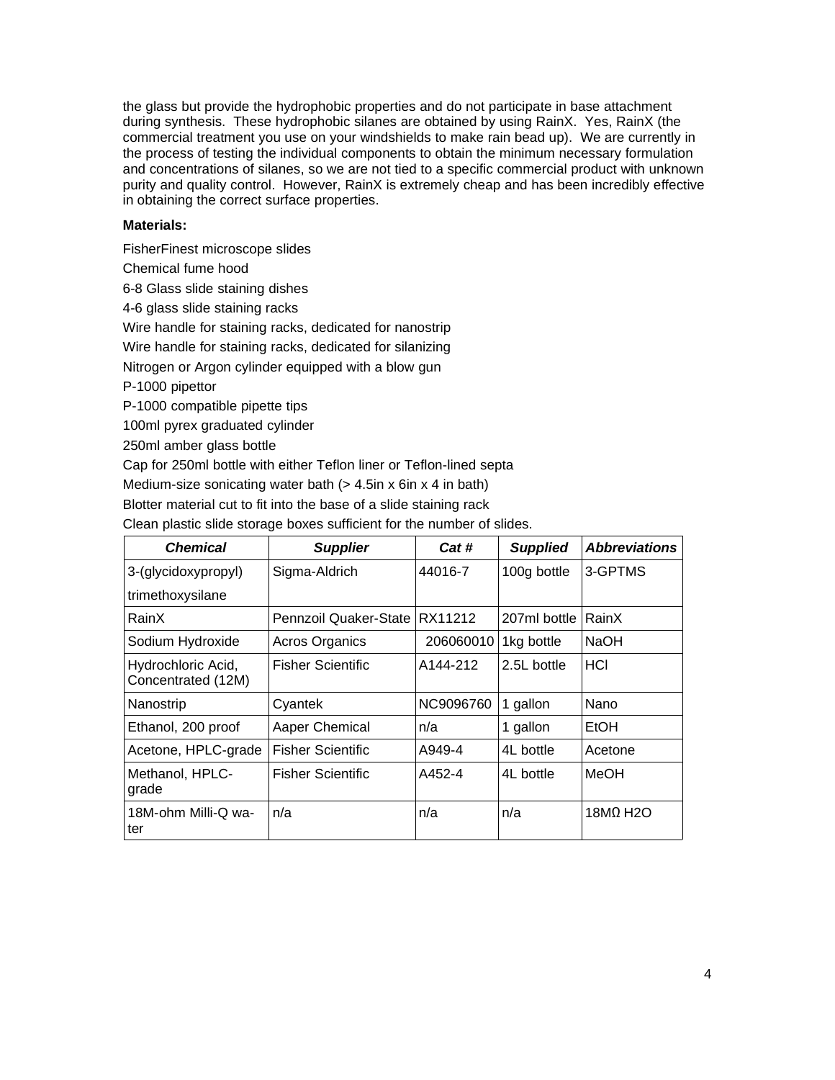the glass but provide the hydrophobic properties and do not participate in base attachment during synthesis. These hydrophobic silanes are obtained by using RainX. Yes, RainX (the commercial treatment you use on your windshields to make rain bead up). We are currently in the process of testing the individual components to obtain the minimum necessary formulation and concentrations of silanes, so we are not tied to a specific commercial product with unknown purity and quality control. However, RainX is extremely cheap and has been incredibly effective in obtaining the correct surface properties.

#### **Materials:**

FisherFinest microscope slides Chemical fume hood 6-8 Glass slide staining dishes 4-6 glass slide staining racks Wire handle for staining racks, dedicated for nanostrip Wire handle for staining racks, dedicated for silanizing Nitrogen or Argon cylinder equipped with a blow gun P-1000 pipettor P-1000 compatible pipette tips 100ml pyrex graduated cylinder 250ml amber glass bottle

Cap for 250ml bottle with either Teflon liner or Teflon-lined septa

Medium-size sonicating water bath  $(> 4.5$ in x 6in x 4 in bath)

Blotter material cut to fit into the base of a slide staining rack

Clean plastic slide storage boxes sufficient for the number of slides.

| <b>Chemical</b>                          | <b>Supplier</b>       | Cat #     | <b>Supplied</b> | <b>Abbreviations</b>   |
|------------------------------------------|-----------------------|-----------|-----------------|------------------------|
| 3-(glycidoxypropyl)                      | Sigma-Aldrich         | 44016-7   | 100g bottle     | 3-GPTMS                |
| trimethoxysilane                         |                       |           |                 |                        |
| RainX                                    | Pennzoil Quaker-State | RX11212   | 207ml bottle    | RainX                  |
| Sodium Hydroxide                         | <b>Acros Organics</b> | 206060010 | 1kg bottle      | <b>NaOH</b>            |
| Hydrochloric Acid,<br>Concentrated (12M) | Fisher Scientific     | A144-212  | 2.5L bottle     | HCI                    |
| Nanostrip                                | Cvantek               | NC9096760 | 1 gallon        | Nano                   |
| Ethanol, 200 proof                       | Aaper Chemical        | n/a       | 1 gallon        | EtOH                   |
| Acetone, HPLC-grade                      | Fisher Scientific     | A949-4    | 4L bottle       | Acetone                |
| Methanol, HPLC-<br>grade                 | Fisher Scientific     | A452-4    | 4L bottle       | MeOH                   |
| 18M-ohm Milli-Q wa-<br>ter               | n/a                   | n/a       | n/a             | $18M$ H <sub>2</sub> O |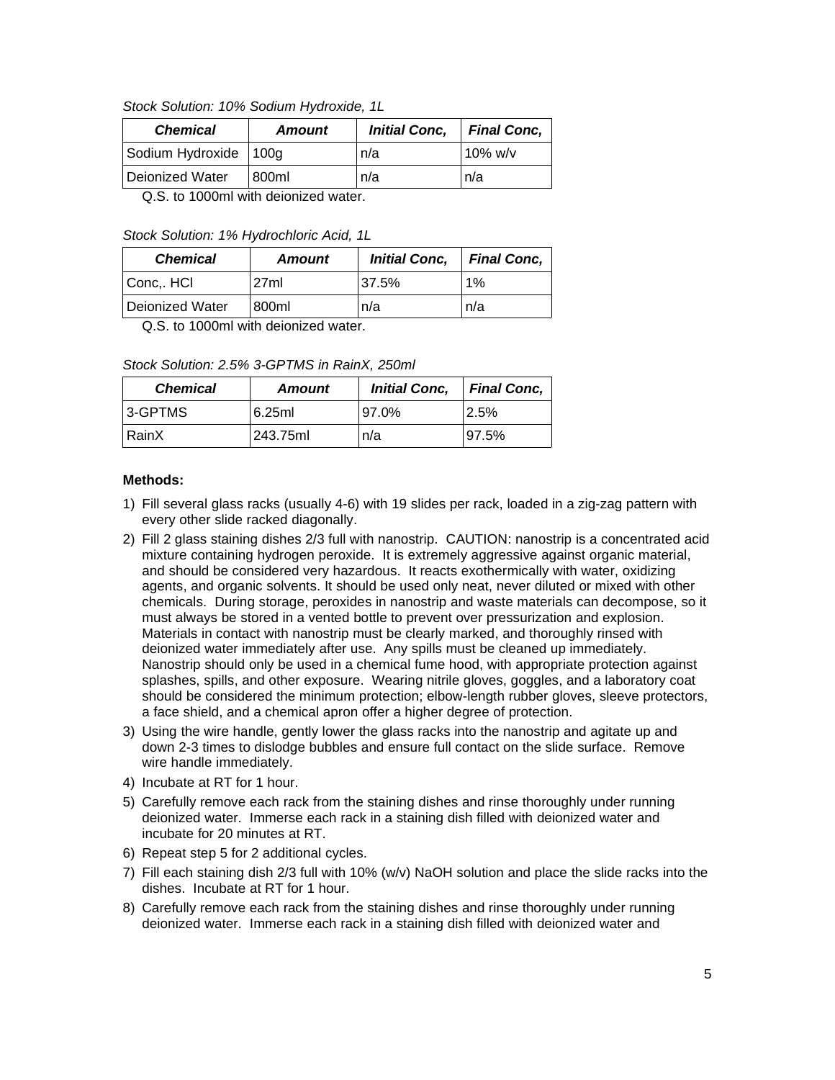#### Stock Solution: 10% Sodium Hydroxide, 1L

| <b>Chemical</b>         | <b>Amount</b>                                                 | <b>Initial Conc.</b> | <b>Final Conc.</b> |
|-------------------------|---------------------------------------------------------------|----------------------|--------------------|
| Sodium Hydroxide   100g |                                                               | n/a                  | 10% $w/v$          |
| Deionized Water         | 800ml                                                         | n/a                  | n/a                |
|                         | $\bigcap_{i=1}^n$ , and it is in the set of $\bigcap_{i=1}^n$ |                      |                    |

Q.S. to 1000ml with deionized water.

#### Stock Solution: 1% Hydrochloric Acid, 1L

| <b>Chemical</b> | <b>Amount</b> | <b>Initial Conc.</b> | <b>Final Conc,</b> |
|-----------------|---------------|----------------------|--------------------|
| Conc HCI        | 27ml          | 37.5%                | 1%                 |
| Deionized Water | 800ml         | n/a                  | n/a                |

Q.S. to 1000ml with deionized water.

Stock Solution: 2.5% 3-GPTMS in RainX, 250ml

| <b>Chemical</b> | <b>Amount</b> | <b>Initial Conc.</b> | <b>Final Conc.</b> |
|-----------------|---------------|----------------------|--------------------|
| 3-GPTMS         | 6.25ml        | 97.0%                | 2.5%               |
| RainX           | 243.75ml      | n/a                  | 97.5%              |

- 1) Fill several glass racks (usually 4-6) with 19 slides per rack, loaded in a zig-zag pattern with every other slide racked diagonally.
- 2) Fill 2 glass staining dishes 2/3 full with nanostrip. CAUTION: nanostrip is a concentrated acid mixture containing hydrogen peroxide. It is extremely aggressive against organic material, and should be considered very hazardous. It reacts exothermically with water, oxidizing agents, and organic solvents. It should be used only neat, never diluted or mixed with other chemicals. During storage, peroxides in nanostrip and waste materials can decompose, so it must always be stored in a vented bottle to prevent over pressurization and explosion. Materials in contact with nanostrip must be clearly marked, and thoroughly rinsed with deionized water immediately after use. Any spills must be cleaned up immediately. Nanostrip should only be used in a chemical fume hood, with appropriate protection against splashes, spills, and other exposure. Wearing nitrile gloves, goggles, and a laboratory coat should be considered the minimum protection; elbow-length rubber gloves, sleeve protectors, a face shield, and a chemical apron offer a higher degree of protection.
- 3) Using the wire handle, gently lower the glass racks into the nanostrip and agitate up and down 2-3 times to dislodge bubbles and ensure full contact on the slide surface. Remove wire handle immediately.
- 4) Incubate at RT for 1 hour.
- 5) Carefully remove each rack from the staining dishes and rinse thoroughly under running deionized water. Immerse each rack in a staining dish filled with deionized water and incubate for 20 minutes at RT.
- 6) Repeat step 5 for 2 additional cycles.
- 7) Fill each staining dish 2/3 full with 10% (w/v) NaOH solution and place the slide racks into the dishes. Incubate at RT for 1 hour.
- 8) Carefully remove each rack from the staining dishes and rinse thoroughly under running deionized water. Immerse each rack in a staining dish filled with deionized water and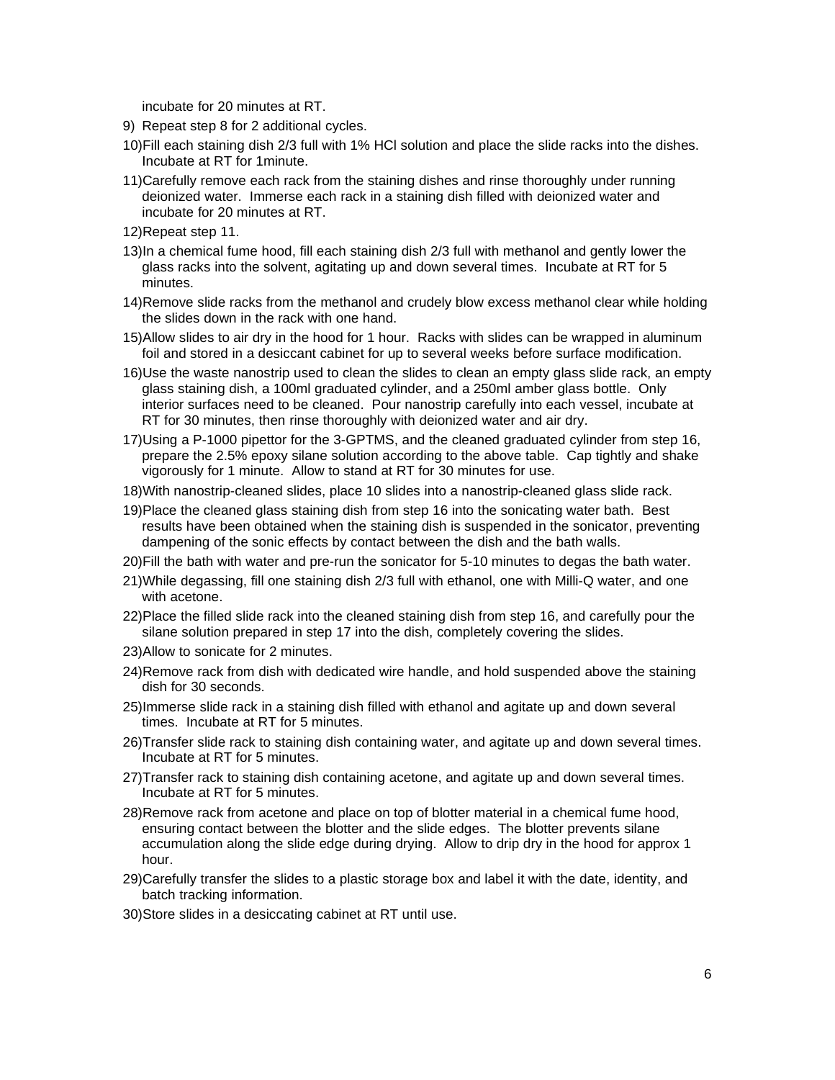incubate for 20 minutes at RT.

- 9) Repeat step 8 for 2 additional cycles.
- 10)Fill each staining dish 2/3 full with 1% HCl solution and place the slide racks into the dishes. Incubate at RT for 1minute.
- 11)Carefully remove each rack from the staining dishes and rinse thoroughly under running deionized water. Immerse each rack in a staining dish filled with deionized water and incubate for 20 minutes at RT.
- 12)Repeat step 11.
- 13)In a chemical fume hood, fill each staining dish 2/3 full with methanol and gently lower the glass racks into the solvent, agitating up and down several times. Incubate at RT for 5 minutes.
- 14)Remove slide racks from the methanol and crudely blow excess methanol clear while holding the slides down in the rack with one hand.
- 15)Allow slides to air dry in the hood for 1 hour. Racks with slides can be wrapped in aluminum foil and stored in a desiccant cabinet for up to several weeks before surface modification.
- 16)Use the waste nanostrip used to clean the slides to clean an empty glass slide rack, an empty glass staining dish, a 100ml graduated cylinder, and a 250ml amber glass bottle. Only interior surfaces need to be cleaned. Pour nanostrip carefully into each vessel, incubate at RT for 30 minutes, then rinse thoroughly with deionized water and air dry.
- 17)Using a P-1000 pipettor for the 3-GPTMS, and the cleaned graduated cylinder from step 16, prepare the 2.5% epoxy silane solution according to the above table. Cap tightly and shake vigorously for 1 minute. Allow to stand at RT for 30 minutes for use.
- 18)With nanostrip-cleaned slides, place 10 slides into a nanostrip-cleaned glass slide rack.
- 19)Place the cleaned glass staining dish from step 16 into the sonicating water bath. Best results have been obtained when the staining dish is suspended in the sonicator, preventing dampening of the sonic effects by contact between the dish and the bath walls.
- 20)Fill the bath with water and pre-run the sonicator for 5-10 minutes to degas the bath water.
- 21)While degassing, fill one staining dish 2/3 full with ethanol, one with Milli-Q water, and one with acetone.
- 22)Place the filled slide rack into the cleaned staining dish from step 16, and carefully pour the silane solution prepared in step 17 into the dish, completely covering the slides.
- 23)Allow to sonicate for 2 minutes.
- 24)Remove rack from dish with dedicated wire handle, and hold suspended above the staining dish for 30 seconds.
- 25)Immerse slide rack in a staining dish filled with ethanol and agitate up and down several times. Incubate at RT for 5 minutes.
- 26)Transfer slide rack to staining dish containing water, and agitate up and down several times. Incubate at RT for 5 minutes.
- 27)Transfer rack to staining dish containing acetone, and agitate up and down several times. Incubate at RT for 5 minutes.
- 28)Remove rack from acetone and place on top of blotter material in a chemical fume hood, ensuring contact between the blotter and the slide edges. The blotter prevents silane accumulation along the slide edge during drying. Allow to drip dry in the hood for approx 1 hour.
- 29)Carefully transfer the slides to a plastic storage box and label it with the date, identity, and batch tracking information.
- 30)Store slides in a desiccating cabinet at RT until use.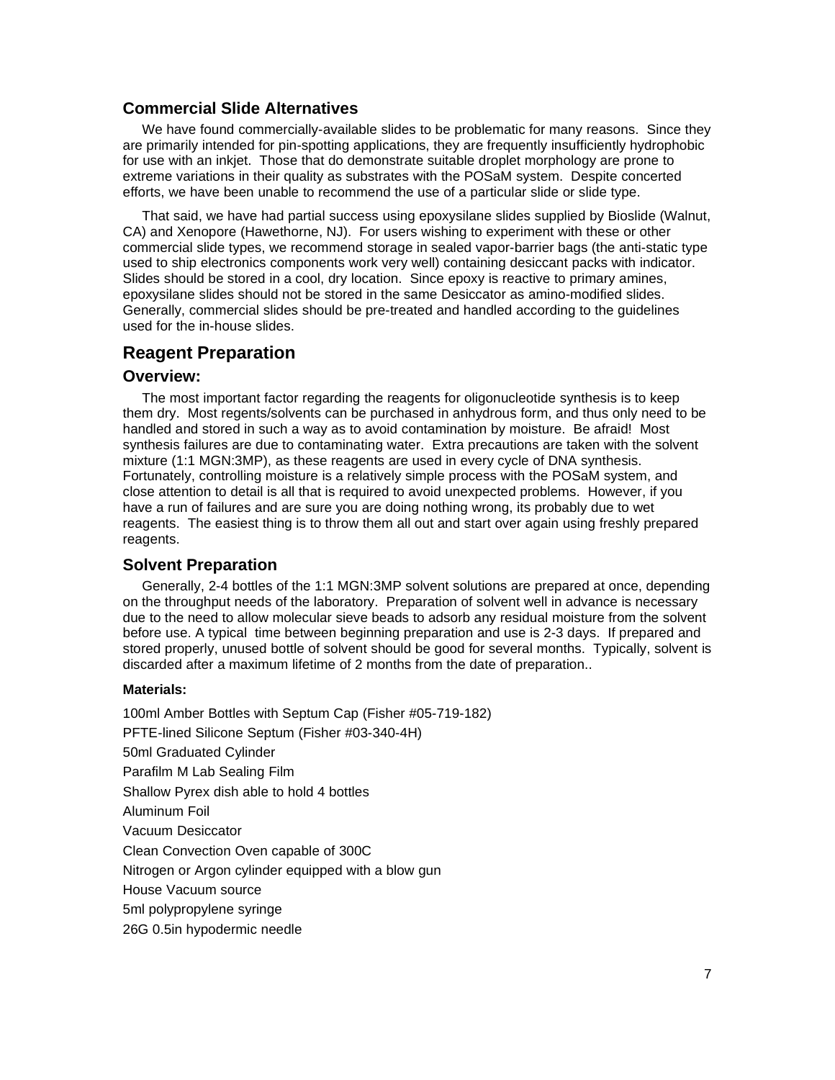### **Commercial Slide Alternatives**

We have found commercially-available slides to be problematic for many reasons. Since they are primarily intended for pin-spotting applications, they are frequently insufficiently hydrophobic for use with an inkjet. Those that do demonstrate suitable droplet morphology are prone to extreme variations in their quality as substrates with the POSaM system. Despite concerted efforts, we have been unable to recommend the use of a particular slide or slide type.

That said, we have had partial success using epoxysilane slides supplied by Bioslide (Walnut, CA) and Xenopore (Hawethorne, NJ). For users wishing to experiment with these or other commercial slide types, we recommend storage in sealed vapor-barrier bags (the anti-static type used to ship electronics components work very well) containing desiccant packs with indicator. Slides should be stored in a cool, dry location. Since epoxy is reactive to primary amines, epoxysilane slides should not be stored in the same Desiccator as amino-modified slides. Generally, commercial slides should be pre-treated and handled according to the guidelines used for the in-house slides.

#### **Reagent Preparation**

#### **Overview:**

The most important factor regarding the reagents for oligonucleotide synthesis is to keep them dry. Most regents/solvents can be purchased in anhydrous form, and thus only need to be handled and stored in such a way as to avoid contamination by moisture. Be afraid! Most synthesis failures are due to contaminating water. Extra precautions are taken with the solvent mixture (1:1 MGN:3MP), as these reagents are used in every cycle of DNA synthesis. Fortunately, controlling moisture is a relatively simple process with the POSaM system, and close attention to detail is all that is required to avoid unexpected problems. However, if you have a run of failures and are sure you are doing nothing wrong, its probably due to wet reagents. The easiest thing is to throw them all out and start over again using freshly prepared reagents.

#### **Solvent Preparation**

Generally, 2-4 bottles of the 1:1 MGN:3MP solvent solutions are prepared at once, depending on the throughput needs of the laboratory. Preparation of solvent well in advance is necessary due to the need to allow molecular sieve beads to adsorb any residual moisture from the solvent before use. A typical time between beginning preparation and use is 2-3 days. If prepared and stored properly, unused bottle of solvent should be good for several months. Typically, solvent is discarded after a maximum lifetime of 2 months from the date of preparation..

#### **Materials:**

100ml Amber Bottles with Septum Cap (Fisher #05-719-182) PFTE-lined Silicone Septum (Fisher #03-340-4H) 50ml Graduated Cylinder Parafilm M Lab Sealing Film Shallow Pyrex dish able to hold 4 bottles Aluminum Foil Vacuum Desiccator Clean Convection Oven capable of 300C Nitrogen or Argon cylinder equipped with a blow gun House Vacuum source 5ml polypropylene syringe 26G 0.5in hypodermic needle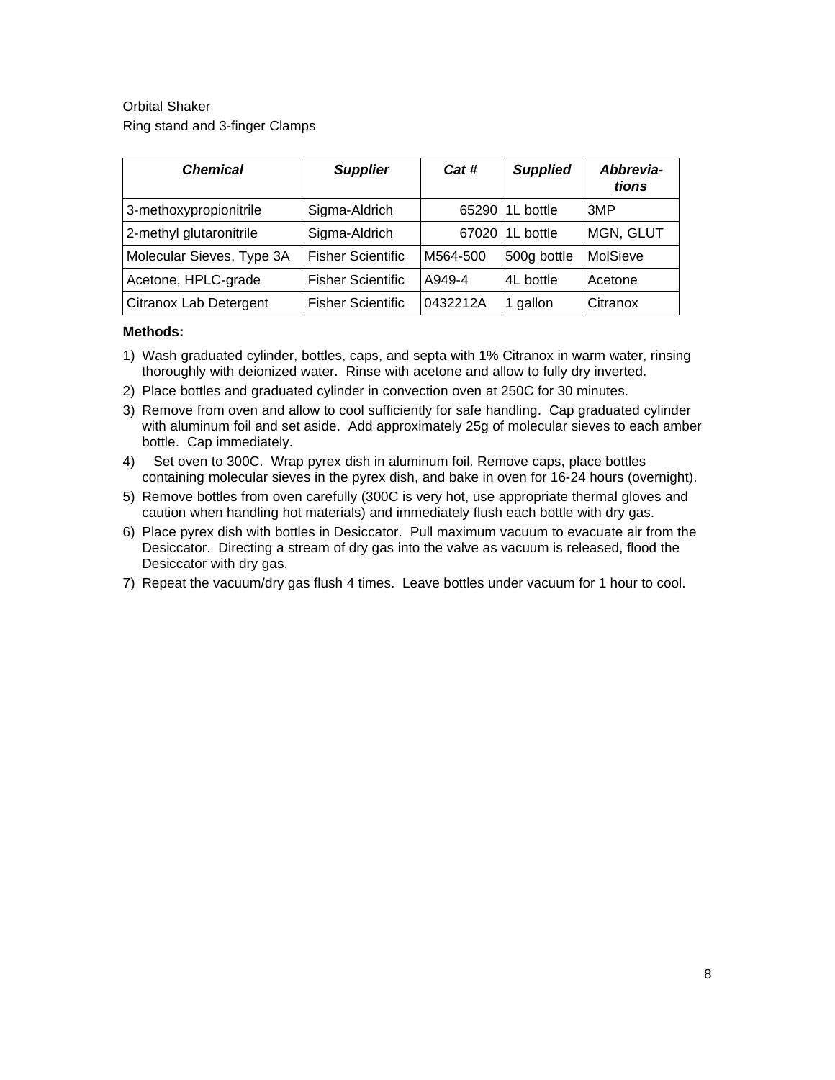Orbital Shaker Ring stand and 3-finger Clamps

| <b>Chemical</b>           | <b>Supplier</b>          | Cat #    | <b>Supplied</b> | Abbrevia-<br>tions |
|---------------------------|--------------------------|----------|-----------------|--------------------|
| 3-methoxypropionitrile    | Sigma-Aldrich            | 65290    | 1L bottle       | 3MP                |
| 2-methyl glutaronitrile   | Sigma-Aldrich            | 67020    | 1L bottle       | MGN, GLUT          |
| Molecular Sieves, Type 3A | <b>Fisher Scientific</b> | M564-500 | 500g bottle     | MolSieve           |
| Acetone, HPLC-grade       | <b>Fisher Scientific</b> | A949-4   | 4L bottle       | Acetone            |
| Citranox Lab Detergent    | <b>Fisher Scientific</b> | 0432212A | 1 gallon        | Citranox           |

- 1) Wash graduated cylinder, bottles, caps, and septa with 1% Citranox in warm water, rinsing thoroughly with deionized water. Rinse with acetone and allow to fully dry inverted.
- 2) Place bottles and graduated cylinder in convection oven at 250C for 30 minutes.
- 3) Remove from oven and allow to cool sufficiently for safe handling. Cap graduated cylinder with aluminum foil and set aside. Add approximately 25g of molecular sieves to each amber bottle. Cap immediately.
- 4) Set oven to 300C. Wrap pyrex dish in aluminum foil. Remove caps, place bottles containing molecular sieves in the pyrex dish, and bake in oven for 16-24 hours (overnight).
- 5) Remove bottles from oven carefully (300C is very hot, use appropriate thermal gloves and caution when handling hot materials) and immediately flush each bottle with dry gas.
- 6) Place pyrex dish with bottles in Desiccator. Pull maximum vacuum to evacuate air from the Desiccator. Directing a stream of dry gas into the valve as vacuum is released, flood the Desiccator with dry gas.
- 7) Repeat the vacuum/dry gas flush 4 times. Leave bottles under vacuum for 1 hour to cool.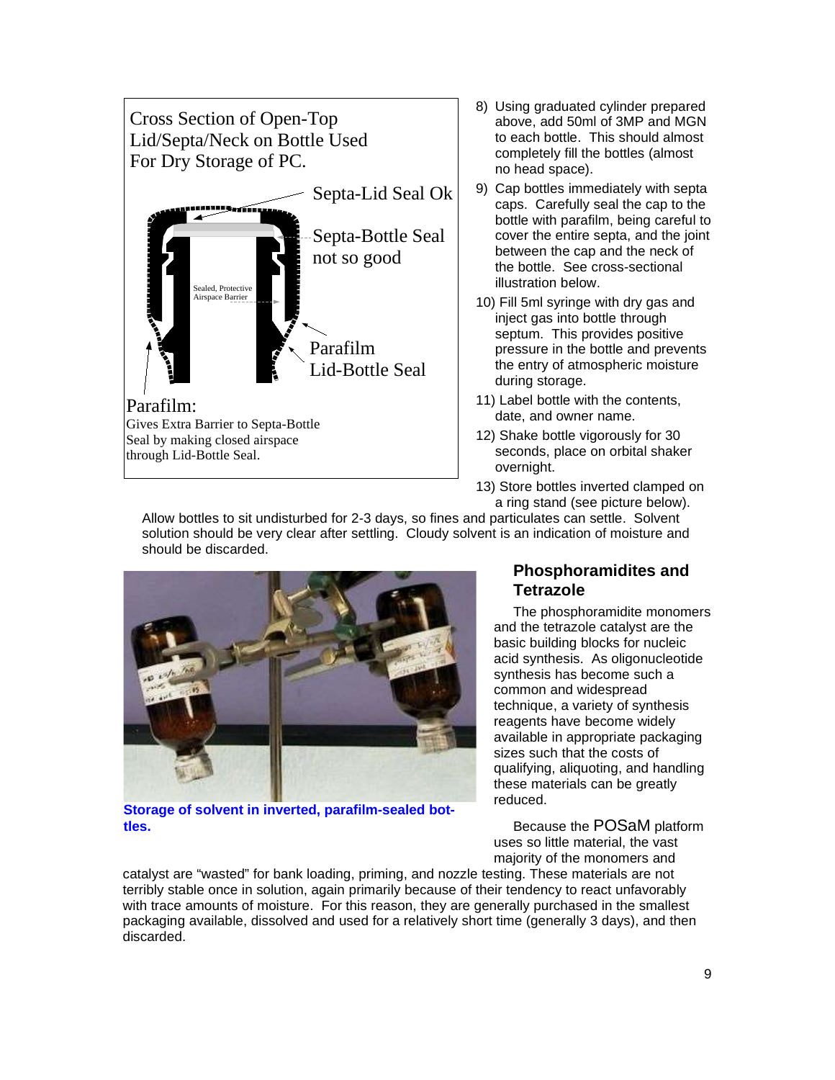

- 8) Using graduated cylinder prepared above, add 50ml of 3MP and MGN to each bottle. This should almost completely fill the bottles (almost no head space).
- 9) Cap bottles immediately with septa caps. Carefully seal the cap to the bottle with parafilm, being careful to cover the entire septa, and the joint between the cap and the neck of the bottle. See cross-sectional illustration below.
- 10) Fill 5ml syringe with dry gas and inject gas into bottle through septum. This provides positive pressure in the bottle and prevents the entry of atmospheric moisture during storage.
- 11) Label bottle with the contents, date, and owner name.
- 12) Shake bottle vigorously for 30 seconds, place on orbital shaker overnight.
- 13) Store bottles inverted clamped on a ring stand (see picture below).

Allow bottles to sit undisturbed for 2-3 days, so fines and particulates can settle. Solvent solution should be very clear after settling. Cloudy solvent is an indication of moisture and should be discarded.



**Storage of solvent in inverted, parafilm-sealed bottles.**

# **Phosphoramidites and Tetrazole**

The phosphoramidite monomers and the tetrazole catalyst are the basic building blocks for nucleic acid synthesis. As oligonucleotide synthesis has become such a common and widespread technique, a variety of synthesis reagents have become widely available in appropriate packaging sizes such that the costs of qualifying, aliquoting, and handling these materials can be greatly reduced.

Because the POSaM platform uses so little material, the vast majority of the monomers and

catalyst are "wasted" for bank loading, priming, and nozzle testing. These materials are not terribly stable once in solution, again primarily because of their tendency to react unfavorably with trace amounts of moisture. For this reason, they are generally purchased in the smallest packaging available, dissolved and used for a relatively short time (generally 3 days), and then discarded.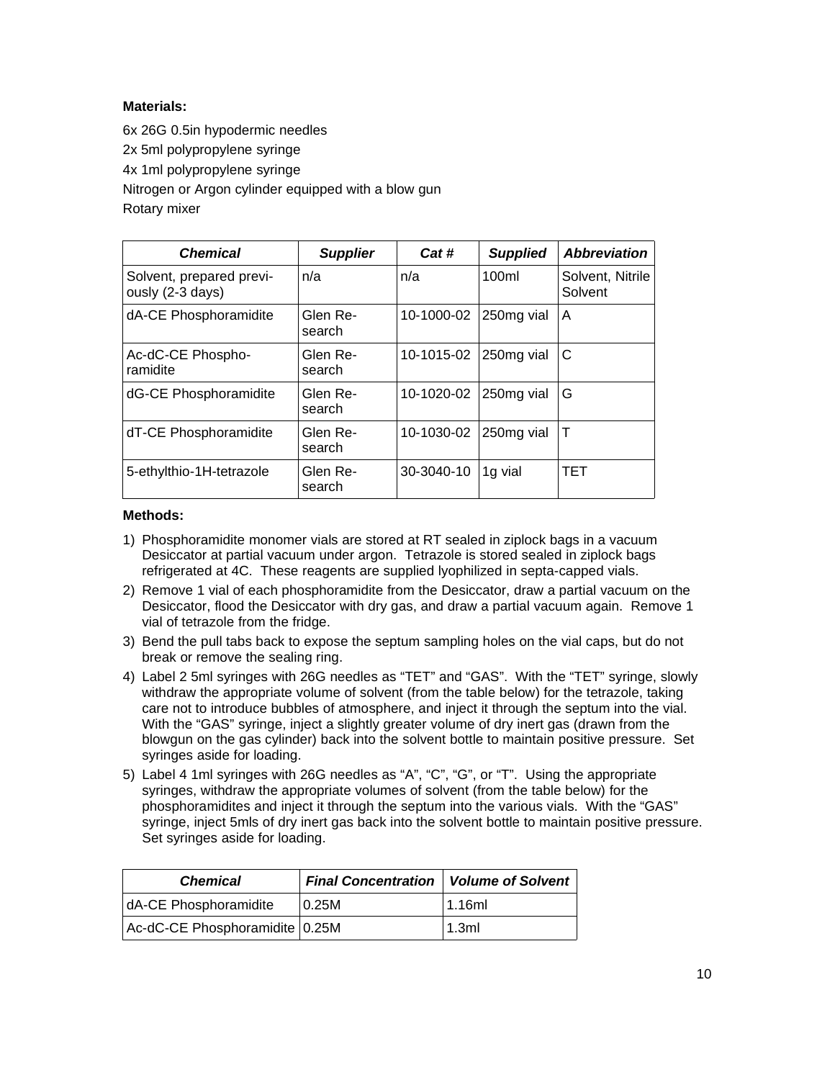#### **Materials:**

6x 26G 0.5in hypodermic needles 2x 5ml polypropylene syringe 4x 1ml polypropylene syringe Nitrogen or Argon cylinder equipped with a blow gun Rotary mixer

| <b>Chemical</b>                              | <b>Supplier</b>    | Cat#       | <b>Supplied</b> | <b>Abbreviation</b>         |
|----------------------------------------------|--------------------|------------|-----------------|-----------------------------|
| Solvent, prepared previ-<br>ously (2-3 days) | n/a                | n/a        | 100ml           | Solvent, Nitrile<br>Solvent |
| dA-CE Phosphoramidite                        | Glen Re-<br>search | 10-1000-02 | 250mg vial      | A                           |
| Ac-dC-CE Phospho-<br>ramidite                | Glen Re-<br>search | 10-1015-02 | 250mg vial      | C                           |
| dG-CE Phosphoramidite                        | Glen Re-<br>search | 10-1020-02 | 250mg vial      | G                           |
| dT-CE Phosphoramidite                        | Glen Re-<br>search | 10-1030-02 | 250mg vial      | Τ                           |
| 5-ethylthio-1H-tetrazole                     | Glen Re-<br>search | 30-3040-10 | 1g vial         | <b>TET</b>                  |

- 1) Phosphoramidite monomer vials are stored at RT sealed in ziplock bags in a vacuum Desiccator at partial vacuum under argon. Tetrazole is stored sealed in ziplock bags refrigerated at 4C. These reagents are supplied lyophilized in septa-capped vials.
- 2) Remove 1 vial of each phosphoramidite from the Desiccator, draw a partial vacuum on the Desiccator, flood the Desiccator with dry gas, and draw a partial vacuum again. Remove 1 vial of tetrazole from the fridge.
- 3) Bend the pull tabs back to expose the septum sampling holes on the vial caps, but do not break or remove the sealing ring.
- 4) Label 2 5ml syringes with 26G needles as "TET" and "GAS". With the "TET" syringe, slowly withdraw the appropriate volume of solvent (from the table below) for the tetrazole, taking care not to introduce bubbles of atmosphere, and inject it through the septum into the vial. With the "GAS" syringe, inject a slightly greater volume of dry inert gas (drawn from the blowgun on the gas cylinder) back into the solvent bottle to maintain positive pressure. Set syringes aside for loading.
- 5) Label 4 1ml syringes with 26G needles as "A", "C", "G", or "T". Using the appropriate syringes, withdraw the appropriate volumes of solvent (from the table below) for the phosphoramidites and inject it through the septum into the various vials. With the "GAS" syringe, inject 5mls of dry inert gas back into the solvent bottle to maintain positive pressure. Set syringes aside for loading.

| <b>Chemical</b>                | <b>Final Concentration   Volume of Solvent</b> |        |
|--------------------------------|------------------------------------------------|--------|
| dA-CE Phosphoramidite          | $\mid$ 0.25M                                   | 1.16ml |
| Ac-dC-CE Phosphoramidite 0.25M |                                                | 1.3ml  |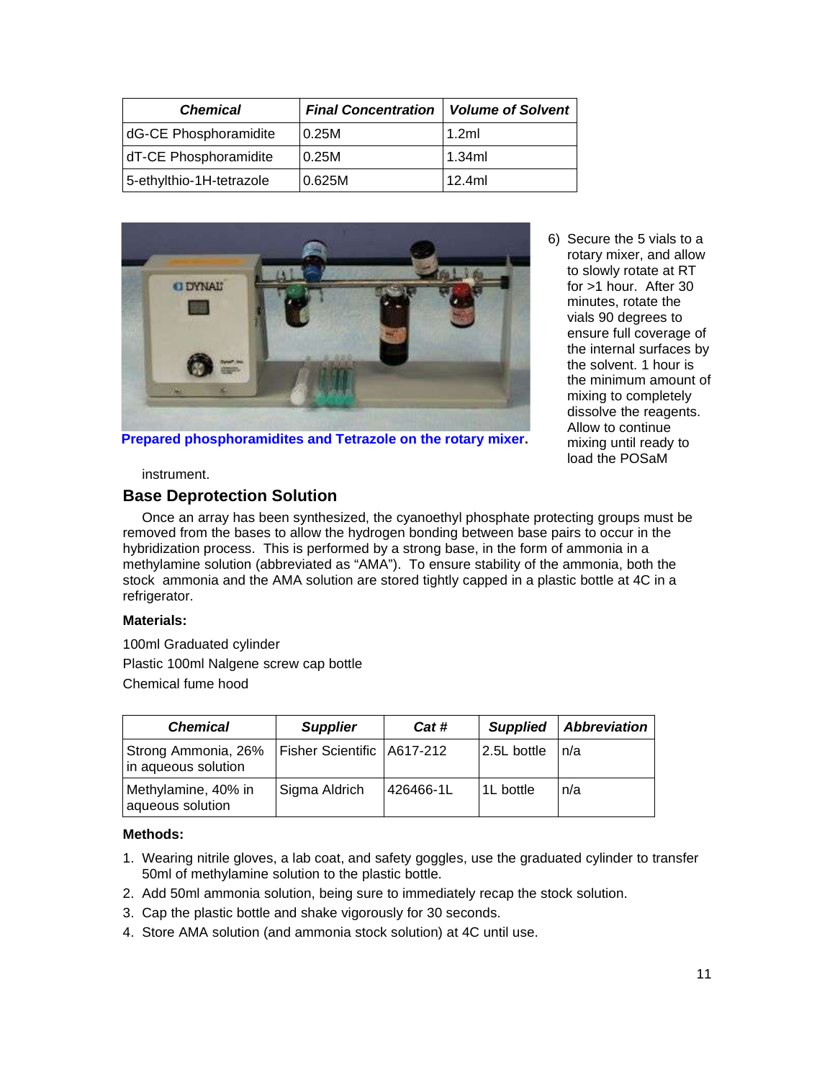| <b>Chemical</b>          | <b>Final Concentration</b> | <b>Volume of Solvent</b> |
|--------------------------|----------------------------|--------------------------|
| dG-CE Phosphoramidite    | 0.25M                      | 1.2ml                    |
| dT-CE Phosphoramidite    | 0.25M                      | 1.34ml                   |
| 5-ethylthio-1H-tetrazole | 0.625M                     | 12.4ml                   |



6) Secure the 5 vials to a rotary mixer, and allow to slowly rotate at RT for >1 hour. After 30 minutes, rotate the vials 90 degrees to ensure full coverage of the internal surfaces by the solvent. 1 hour is the minimum amount of mixing to completely dissolve the reagents. Allow to continue mixing until ready to load the POSaM

**Prepared phosphoramidites and Tetrazole on the rotary mixer.**

instrument.

#### **Base Deprotection Solution**

Once an array has been synthesized, the cyanoethyl phosphate protecting groups must be removed from the bases to allow the hydrogen bonding between base pairs to occur in the hybridization process. This is performed by a strong base, in the form of ammonia in a methylamine solution (abbreviated as "AMA"). To ensure stability of the ammonia, both the stock ammonia and the AMA solution are stored tightly capped in a plastic bottle at 4C in a refrigerator.

#### **Materials:**

100ml Graduated cylinder Plastic 100ml Nalgene screw cap bottle Chemical fume hood

| <b>Chemical</b>                            | <b>Supplier</b>              | Cat #     | <b>Supplied</b> | <b>Abbreviation</b> |
|--------------------------------------------|------------------------------|-----------|-----------------|---------------------|
| Strong Ammonia, 26%<br>in aqueous solution | Fisher Scientific   A617-212 |           | 2.5L bottle     | 'n/a                |
| Methylamine, 40% in<br>aqueous solution    | Sigma Aldrich                | 426466-1L | 1L bottle       | n/a                 |

- 1. Wearing nitrile gloves, a lab coat, and safety goggles, use the graduated cylinder to transfer 50ml of methylamine solution to the plastic bottle.
- 2. Add 50ml ammonia solution, being sure to immediately recap the stock solution.
- 3. Cap the plastic bottle and shake vigorously for 30 seconds.
- 4. Store AMA solution (and ammonia stock solution) at 4C until use.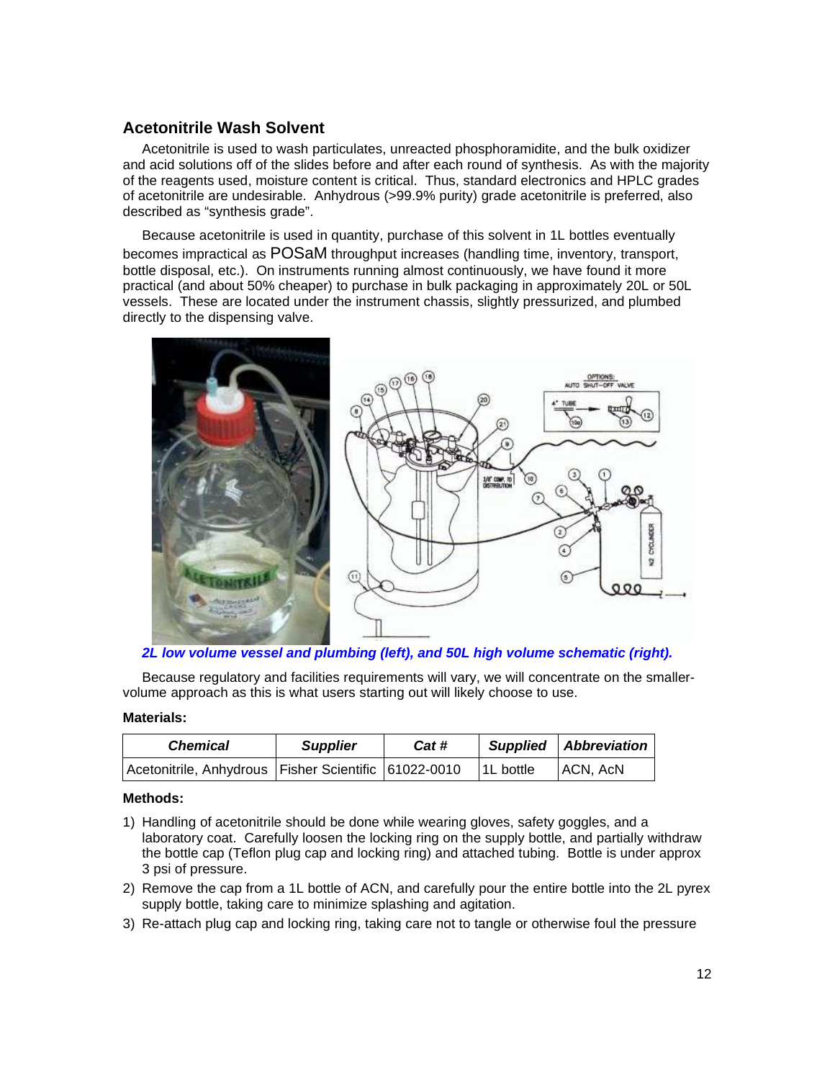### **Acetonitrile Wash Solvent**

Acetonitrile is used to wash particulates, unreacted phosphoramidite, and the bulk oxidizer and acid solutions off of the slides before and after each round of synthesis. As with the majority of the reagents used, moisture content is critical. Thus, standard electronics and HPLC grades of acetonitrile are undesirable. Anhydrous (>99.9% purity) grade acetonitrile is preferred, also described as "synthesis grade".

Because acetonitrile is used in quantity, purchase of this solvent in 1L bottles eventually becomes impractical as POSaM throughput increases (handling time, inventory, transport, bottle disposal, etc.). On instruments running almost continuously, we have found it more practical (and about 50% cheaper) to purchase in bulk packaging in approximately 20L or 50L vessels. These are located under the instrument chassis, slightly pressurized, and plumbed directly to the dispensing valve.



**2L low volume vessel and plumbing (left), and 50L high volume schematic (right).**

Because regulatory and facilities requirements will vary, we will concentrate on the smallervolume approach as this is what users starting out will likely choose to use.

#### **Materials:**

| <b>Chemical</b>                                          | <b>Supplier</b> | Cat # |                        | Supplied Abbreviation |
|----------------------------------------------------------|-----------------|-------|------------------------|-----------------------|
| Acetonitrile, Anhydrous   Fisher Scientific   61022-0010 |                 |       | <sup>1</sup> 1L bottle | ACN, AcN              |

- 1) Handling of acetonitrile should be done while wearing gloves, safety goggles, and a laboratory coat. Carefully loosen the locking ring on the supply bottle, and partially withdraw the bottle cap (Teflon plug cap and locking ring) and attached tubing. Bottle is under approx 3 psi of pressure.
- 2) Remove the cap from a 1L bottle of ACN, and carefully pour the entire bottle into the 2L pyrex supply bottle, taking care to minimize splashing and agitation.
- 3) Re-attach plug cap and locking ring, taking care not to tangle or otherwise foul the pressure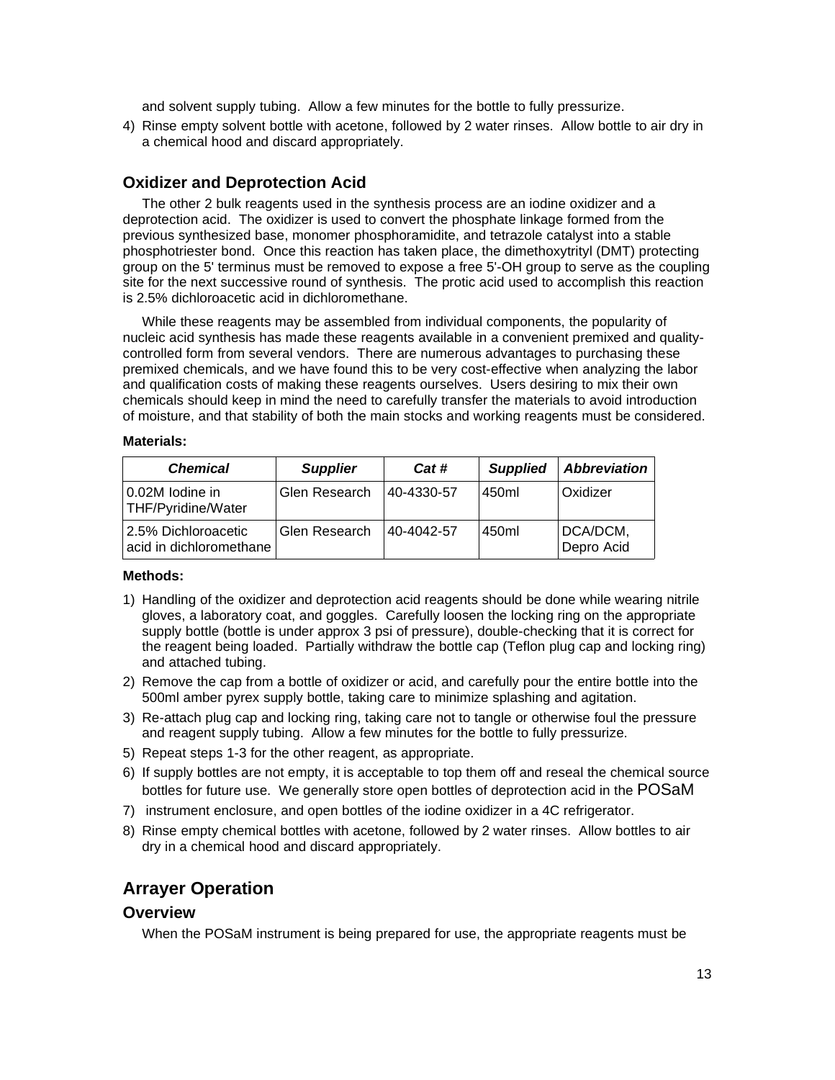and solvent supply tubing. Allow a few minutes for the bottle to fully pressurize.

4) Rinse empty solvent bottle with acetone, followed by 2 water rinses. Allow bottle to air dry in a chemical hood and discard appropriately.

#### **Oxidizer and Deprotection Acid**

The other 2 bulk reagents used in the synthesis process are an iodine oxidizer and a deprotection acid. The oxidizer is used to convert the phosphate linkage formed from the previous synthesized base, monomer phosphoramidite, and tetrazole catalyst into a stable phosphotriester bond. Once this reaction has taken place, the dimethoxytrityl (DMT) protecting group on the 5' terminus must be removed to expose a free 5'-OH group to serve as the coupling site for the next successive round of synthesis. The protic acid used to accomplish this reaction is 2.5% dichloroacetic acid in dichloromethane.

While these reagents may be assembled from individual components, the popularity of nucleic acid synthesis has made these reagents available in a convenient premixed and qualitycontrolled form from several vendors. There are numerous advantages to purchasing these premixed chemicals, and we have found this to be very cost-effective when analyzing the labor and qualification costs of making these reagents ourselves. Users desiring to mix their own chemicals should keep in mind the need to carefully transfer the materials to avoid introduction of moisture, and that stability of both the main stocks and working reagents must be considered.

#### **Materials:**

| <b>Chemical</b>                                | <b>Supplier</b> | Cat #      | <b>Supplied</b> | <b>Abbreviation</b>    |
|------------------------------------------------|-----------------|------------|-----------------|------------------------|
| 0.02M lodine in<br>THF/Pyridine/Water          | Glen Research   | 40-4330-57 | 450ml           | Oxidizer               |
| 2.5% Dichloroacetic<br>acid in dichloromethane | Glen Research   | 40-4042-57 | 450ml           | DCA/DCM,<br>Depro Acid |

#### **Methods:**

- 1) Handling of the oxidizer and deprotection acid reagents should be done while wearing nitrile gloves, a laboratory coat, and goggles. Carefully loosen the locking ring on the appropriate supply bottle (bottle is under approx 3 psi of pressure), double-checking that it is correct for the reagent being loaded. Partially withdraw the bottle cap (Teflon plug cap and locking ring) and attached tubing.
- 2) Remove the cap from a bottle of oxidizer or acid, and carefully pour the entire bottle into the 500ml amber pyrex supply bottle, taking care to minimize splashing and agitation.
- 3) Re-attach plug cap and locking ring, taking care not to tangle or otherwise foul the pressure and reagent supply tubing. Allow a few minutes for the bottle to fully pressurize.
- 5) Repeat steps 1-3 for the other reagent, as appropriate.
- 6) If supply bottles are not empty, it is acceptable to top them off and reseal the chemical source bottles for future use. We generally store open bottles of deprotection acid in the POSaM
- 7) instrument enclosure, and open bottles of the iodine oxidizer in a 4C refrigerator.
- 8) Rinse empty chemical bottles with acetone, followed by 2 water rinses. Allow bottles to air dry in a chemical hood and discard appropriately.

#### **Arrayer Operation**

#### **Overview**

When the POSaM instrument is being prepared for use, the appropriate reagents must be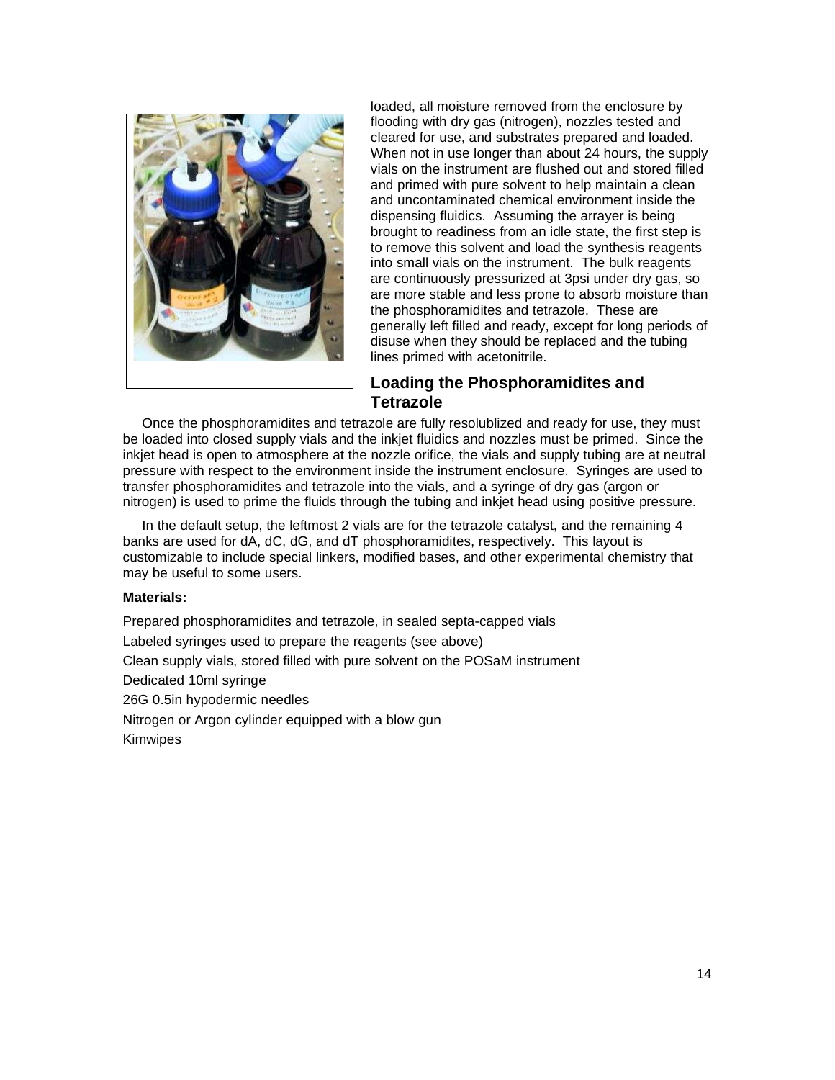

loaded, all moisture removed from the enclosure by flooding with dry gas (nitrogen), nozzles tested and cleared for use, and substrates prepared and loaded. When not in use longer than about 24 hours, the supply vials on the instrument are flushed out and stored filled and primed with pure solvent to help maintain a clean and uncontaminated chemical environment inside the dispensing fluidics. Assuming the arrayer is being brought to readiness from an idle state, the first step is to remove this solvent and load the synthesis reagents into small vials on the instrument. The bulk reagents are continuously pressurized at 3psi under dry gas, so are more stable and less prone to absorb moisture than the phosphoramidites and tetrazole. These are generally left filled and ready, except for long periods of disuse when they should be replaced and the tubing lines primed with acetonitrile.

# **Loading the Phosphoramidites and Tetrazole**

Once the phosphoramidites and tetrazole are fully resolublized and ready for use, they must be loaded into closed supply vials and the inkjet fluidics and nozzles must be primed. Since the inkjet head is open to atmosphere at the nozzle orifice, the vials and supply tubing are at neutral pressure with respect to the environment inside the instrument enclosure. Syringes are used to transfer phosphoramidites and tetrazole into the vials, and a syringe of dry gas (argon or nitrogen) is used to prime the fluids through the tubing and inkjet head using positive pressure.

In the default setup, the leftmost 2 vials are for the tetrazole catalyst, and the remaining 4 banks are used for dA, dC, dG, and dT phosphoramidites, respectively. This layout is customizable to include special linkers, modified bases, and other experimental chemistry that may be useful to some users.

#### **Materials:**

Prepared phosphoramidites and tetrazole, in sealed septa-capped vials Labeled syringes used to prepare the reagents (see above) Clean supply vials, stored filled with pure solvent on the POSaM instrument Dedicated 10ml syringe 26G 0.5in hypodermic needles Nitrogen or Argon cylinder equipped with a blow gun Kimwipes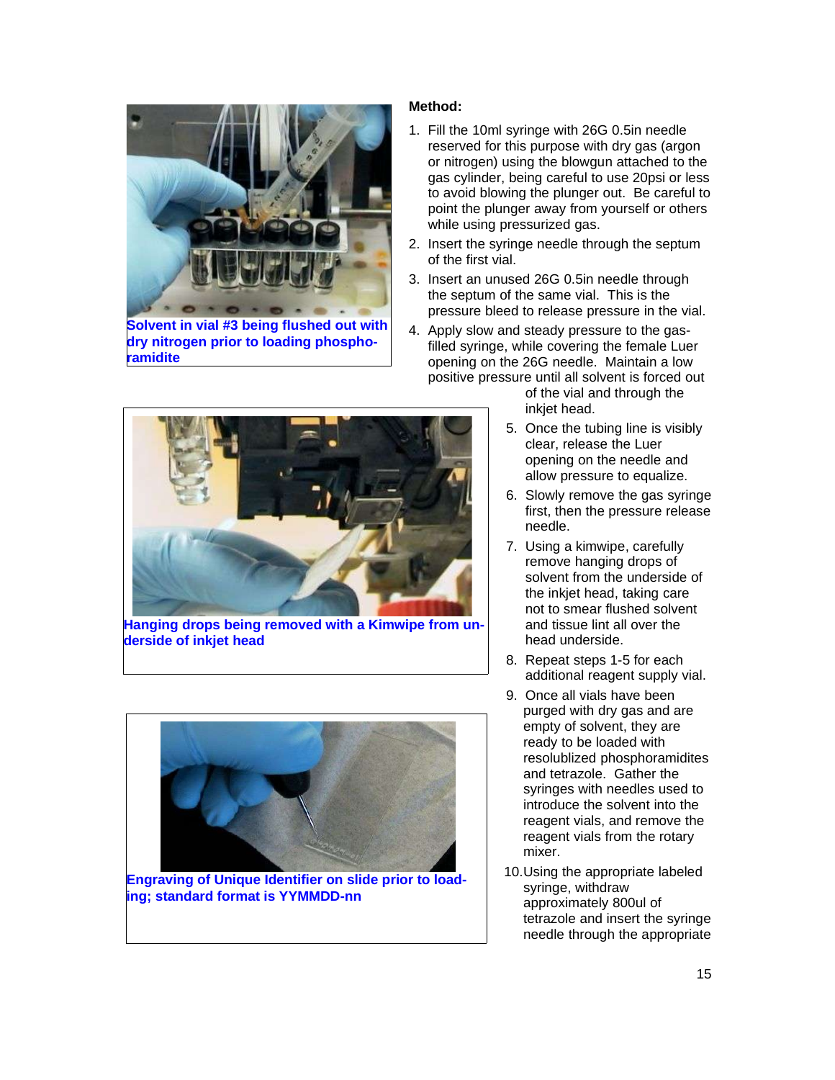

**Solvent in vial #3 being flushed out with dry nitrogen prior to loading phosphoramidite**

#### **Method:**

- 1. Fill the 10ml syringe with 26G 0.5in needle reserved for this purpose with dry gas (argon or nitrogen) using the blowgun attached to the gas cylinder, being careful to use 20psi or less to avoid blowing the plunger out. Be careful to point the plunger away from yourself or others while using pressurized gas.
- 2. Insert the syringe needle through the septum of the first vial.
- 3. Insert an unused 26G 0.5in needle through the septum of the same vial. This is the pressure bleed to release pressure in the vial.
- 4. Apply slow and steady pressure to the gasfilled syringe, while covering the female Luer opening on the 26G needle. Maintain a low positive pressure until all solvent is forced out



**Hanging drops being removed with a Kimwipe from underside of inkjet head**



**Engraving of Unique Identifier on slide prior to loading; standard format is YYMMDD-nn**

of the vial and through the inkjet head.

- 5. Once the tubing line is visibly clear, release the Luer opening on the needle and allow pressure to equalize.
- 6. Slowly remove the gas syringe first, then the pressure release needle.
- 7. Using a kimwipe, carefully remove hanging drops of solvent from the underside of the inkjet head, taking care not to smear flushed solvent and tissue lint all over the head underside.
- 8. Repeat steps 1-5 for each additional reagent supply vial.
- 9. Once all vials have been purged with dry gas and are empty of solvent, they are ready to be loaded with resolublized phosphoramidites and tetrazole. Gather the syringes with needles used to introduce the solvent into the reagent vials, and remove the reagent vials from the rotary mixer.
- 10.Using the appropriate labeled syringe, withdraw approximately 800ul of tetrazole and insert the syringe needle through the appropriate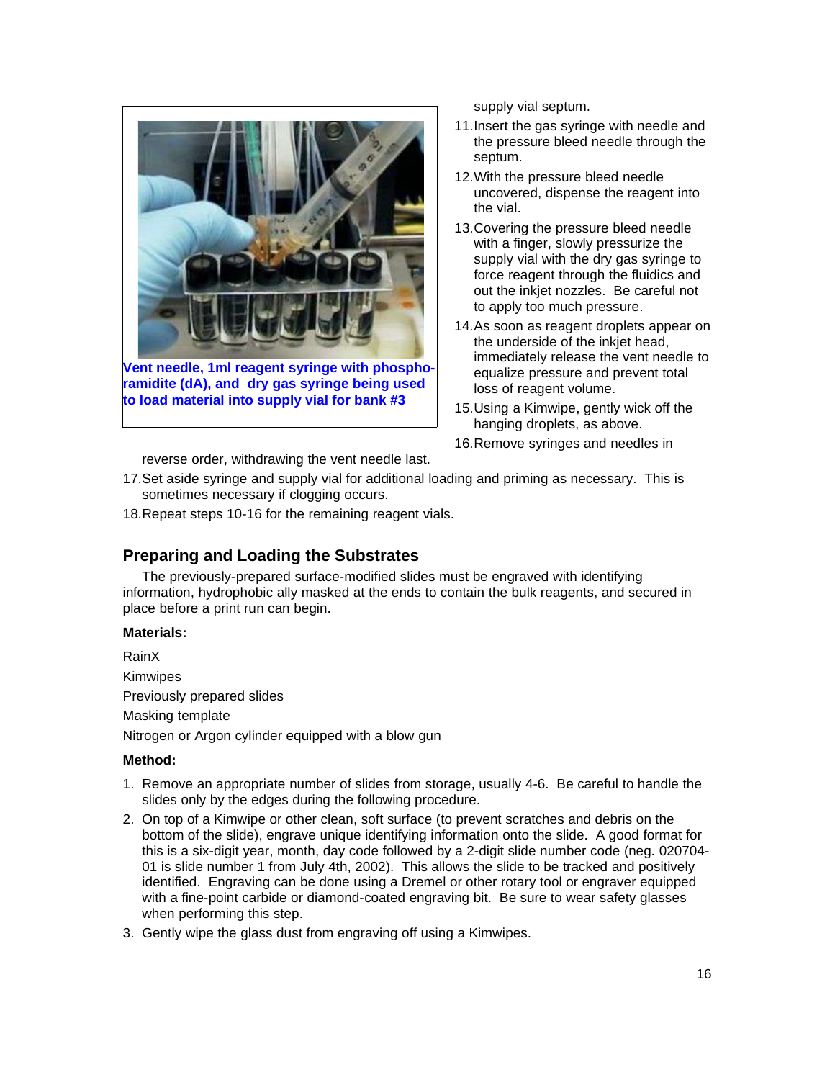

**ramidite (dA), and dry gas syringe being used to load material into supply vial for bank #3**

supply vial septum.

- 11.Insert the gas syringe with needle and the pressure bleed needle through the septum.
- 12.With the pressure bleed needle uncovered, dispense the reagent into the vial.
- 13.Covering the pressure bleed needle with a finger, slowly pressurize the supply vial with the dry gas syringe to force reagent through the fluidics and out the inkjet nozzles. Be careful not to apply too much pressure.
- 14.As soon as reagent droplets appear on the underside of the inkjet head, immediately release the vent needle to equalize pressure and prevent total loss of reagent volume.
- 15.Using a Kimwipe, gently wick off the hanging droplets, as above.
- 16.Remove syringes and needles in

reverse order, withdrawing the vent needle last.

- 17.Set aside syringe and supply vial for additional loading and priming as necessary. This is sometimes necessary if clogging occurs.
- 18.Repeat steps 10-16 for the remaining reagent vials.

### **Preparing and Loading the Substrates**

The previously-prepared surface-modified slides must be engraved with identifying information, hydrophobic ally masked at the ends to contain the bulk reagents, and secured in place before a print run can begin.

#### **Materials:**

RainX Kimwipes Previously prepared slides Masking template Nitrogen or Argon cylinder equipped with a blow gun

- 1. Remove an appropriate number of slides from storage, usually 4-6. Be careful to handle the slides only by the edges during the following procedure.
- 2. On top of a Kimwipe or other clean, soft surface (to prevent scratches and debris on the bottom of the slide), engrave unique identifying information onto the slide. A good format for this is a six-digit year, month, day code followed by a 2-digit slide number code (neg. 020704- 01 is slide number 1 from July 4th, 2002). This allows the slide to be tracked and positively identified. Engraving can be done using a Dremel or other rotary tool or engraver equipped with a fine-point carbide or diamond-coated engraving bit. Be sure to wear safety glasses when performing this step.
- 3. Gently wipe the glass dust from engraving off using a Kimwipes.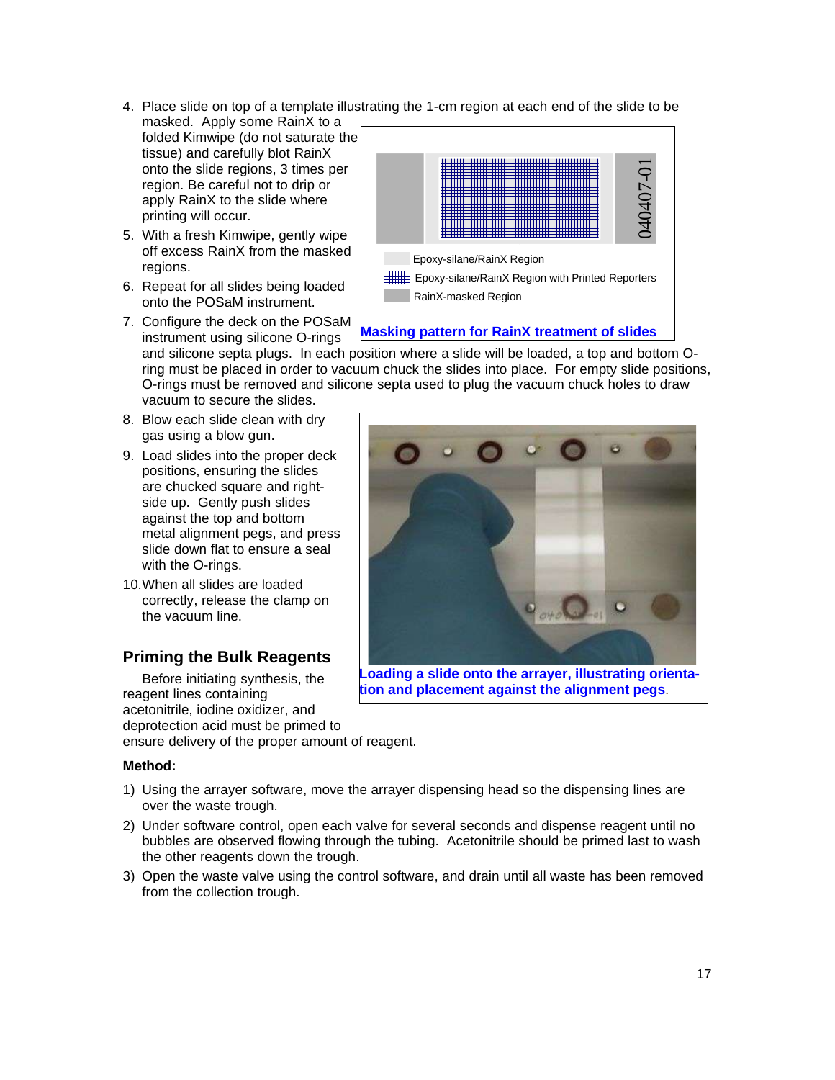- 4. Place slide on top of a template illustrating the 1-cm region at each end of the slide to be
- masked. Apply some RainX to a folded Kimwipe (do not saturate the tissue) and carefully blot RainX onto the slide regions, 3 times per region. Be careful not to drip or apply RainX to the slide where printing will occur.
- 5. With a fresh Kimwipe, gently wipe off excess RainX from the masked regions.
- 6. Repeat for all slides being loaded onto the POSaM instrument.
- 7. Configure the deck on the POSaM instrument using silicone O-rings



### **Masking pattern for RainX treatment of slides**

and silicone septa plugs. In each position where a slide will be loaded, a top and bottom Oring must be placed in order to vacuum chuck the slides into place. For empty slide positions, O-rings must be removed and silicone septa used to plug the vacuum chuck holes to draw vacuum to secure the slides.

- 8. Blow each slide clean with dry gas using a blow gun.
- 9. Load slides into the proper deck positions, ensuring the slides are chucked square and rightside up. Gently push slides against the top and bottom metal alignment pegs, and press slide down flat to ensure a seal with the O-rings.
- 10.When all slides are loaded correctly, release the clamp on the vacuum line.

# **Priming the Bulk Reagents**

Before initiating synthesis, the reagent lines containing acetonitrile, iodine oxidizer, and deprotection acid must be primed to ensure delivery of the proper amount of reagent.

- 1) Using the arrayer software, move the arrayer dispensing head so the dispensing lines are over the waste trough.
- 2) Under software control, open each valve for several seconds and dispense reagent until no bubbles are observed flowing through the tubing. Acetonitrile should be primed last to wash the other reagents down the trough.
- 3) Open the waste valve using the control software, and drain until all waste has been removed from the collection trough.



**tion and placement against the alignment pegs**.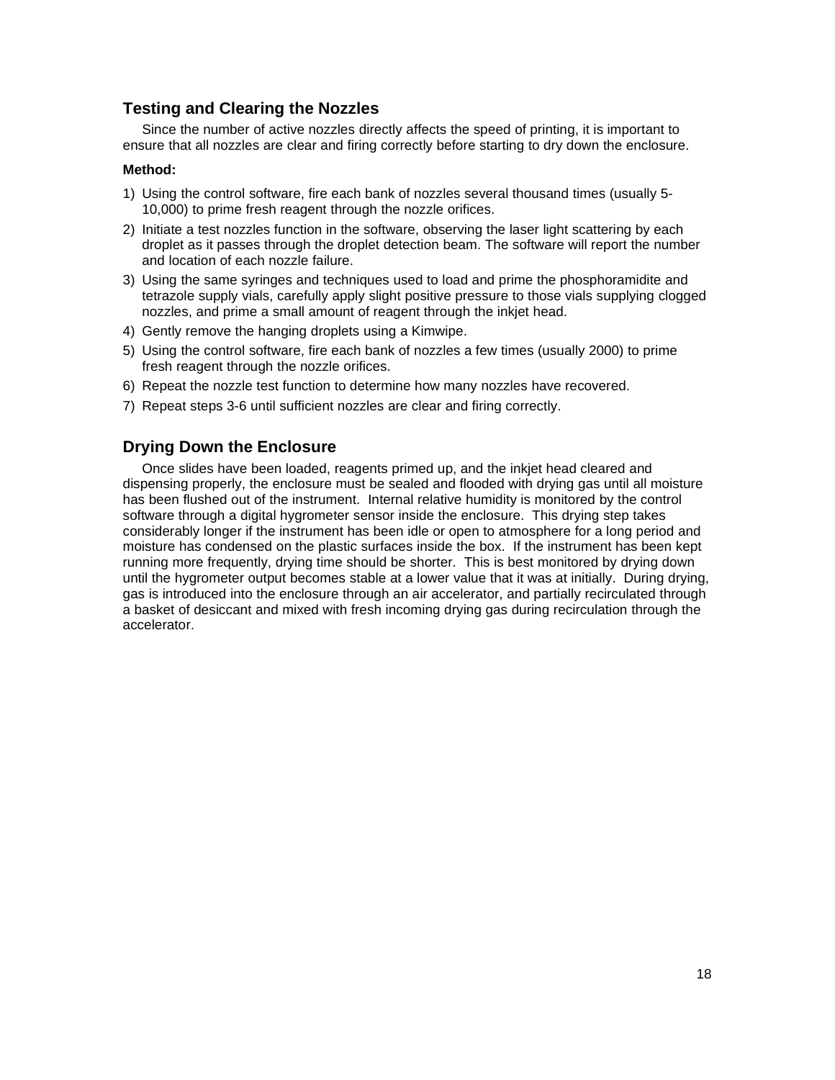### **Testing and Clearing the Nozzles**

Since the number of active nozzles directly affects the speed of printing, it is important to ensure that all nozzles are clear and firing correctly before starting to dry down the enclosure.

#### **Method:**

- 1) Using the control software, fire each bank of nozzles several thousand times (usually 5- 10,000) to prime fresh reagent through the nozzle orifices.
- 2) Initiate a test nozzles function in the software, observing the laser light scattering by each droplet as it passes through the droplet detection beam. The software will report the number and location of each nozzle failure.
- 3) Using the same syringes and techniques used to load and prime the phosphoramidite and tetrazole supply vials, carefully apply slight positive pressure to those vials supplying clogged nozzles, and prime a small amount of reagent through the inkjet head.
- 4) Gently remove the hanging droplets using a Kimwipe.
- 5) Using the control software, fire each bank of nozzles a few times (usually 2000) to prime fresh reagent through the nozzle orifices.
- 6) Repeat the nozzle test function to determine how many nozzles have recovered.
- 7) Repeat steps 3-6 until sufficient nozzles are clear and firing correctly.

### **Drying Down the Enclosure**

Once slides have been loaded, reagents primed up, and the inkjet head cleared and dispensing properly, the enclosure must be sealed and flooded with drying gas until all moisture has been flushed out of the instrument. Internal relative humidity is monitored by the control software through a digital hygrometer sensor inside the enclosure. This drying step takes considerably longer if the instrument has been idle or open to atmosphere for a long period and moisture has condensed on the plastic surfaces inside the box. If the instrument has been kept running more frequently, drying time should be shorter. This is best monitored by drying down until the hygrometer output becomes stable at a lower value that it was at initially. During drying, gas is introduced into the enclosure through an air accelerator, and partially recirculated through a basket of desiccant and mixed with fresh incoming drying gas during recirculation through the accelerator.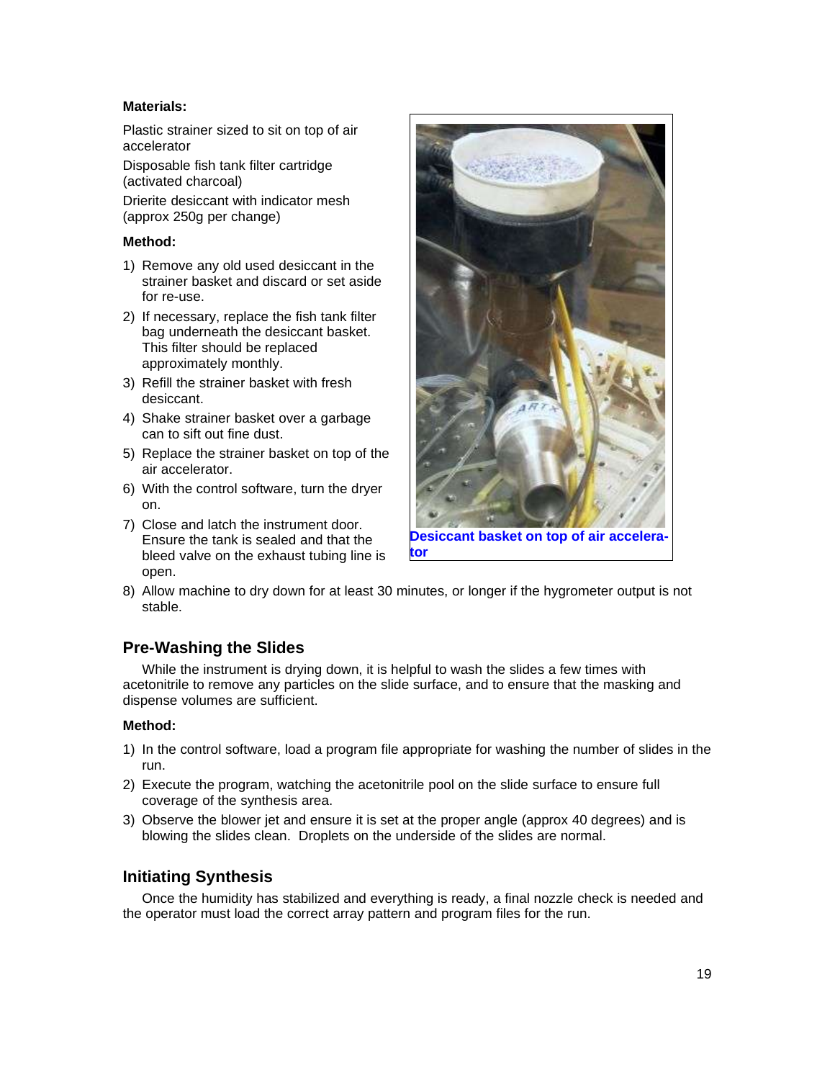### **Materials:**

Plastic strainer sized to sit on top of air accelerator

Disposable fish tank filter cartridge (activated charcoal)

Drierite desiccant with indicator mesh (approx 250g per change)

#### **Method:**

- 1) Remove any old used desiccant in the strainer basket and discard or set aside for re-use.
- 2) If necessary, replace the fish tank filter bag underneath the desiccant basket. This filter should be replaced approximately monthly.
- 3) Refill the strainer basket with fresh desiccant.
- 4) Shake strainer basket over a garbage can to sift out fine dust.
- 5) Replace the strainer basket on top of the air accelerator.
- 6) With the control software, turn the dryer on.
- 7) Close and latch the instrument door. Ensure the tank is sealed and that the bleed valve on the exhaust tubing line is open.



**Desiccant basket on top of air accelerator**

8) Allow machine to dry down for at least 30 minutes, or longer if the hygrometer output is not stable.

# **Pre-Washing the Slides**

While the instrument is drying down, it is helpful to wash the slides a few times with acetonitrile to remove any particles on the slide surface, and to ensure that the masking and dispense volumes are sufficient.

#### **Method:**

- 1) In the control software, load a program file appropriate for washing the number of slides in the run.
- 2) Execute the program, watching the acetonitrile pool on the slide surface to ensure full coverage of the synthesis area.
- 3) Observe the blower jet and ensure it is set at the proper angle (approx 40 degrees) and is blowing the slides clean. Droplets on the underside of the slides are normal.

### **Initiating Synthesis**

Once the humidity has stabilized and everything is ready, a final nozzle check is needed and the operator must load the correct array pattern and program files for the run.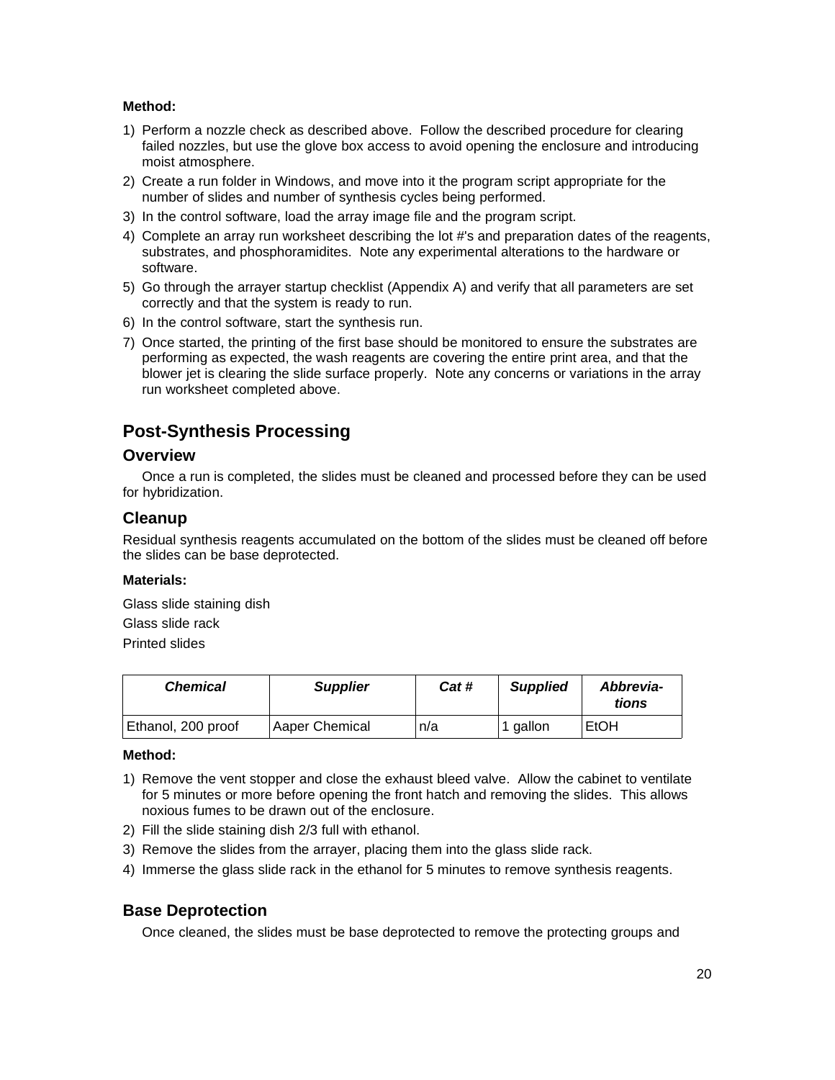#### **Method:**

- 1) Perform a nozzle check as described above. Follow the described procedure for clearing failed nozzles, but use the glove box access to avoid opening the enclosure and introducing moist atmosphere.
- 2) Create a run folder in Windows, and move into it the program script appropriate for the number of slides and number of synthesis cycles being performed.
- 3) In the control software, load the array image file and the program script.
- 4) Complete an array run worksheet describing the lot #'s and preparation dates of the reagents, substrates, and phosphoramidites. Note any experimental alterations to the hardware or software.
- 5) Go through the arrayer startup checklist (Appendix A) and verify that all parameters are set correctly and that the system is ready to run.
- 6) In the control software, start the synthesis run.
- 7) Once started, the printing of the first base should be monitored to ensure the substrates are performing as expected, the wash reagents are covering the entire print area, and that the blower jet is clearing the slide surface properly. Note any concerns or variations in the array run worksheet completed above.

# **Post-Synthesis Processing**

#### **Overview**

Once a run is completed, the slides must be cleaned and processed before they can be used for hybridization.

#### **Cleanup**

Residual synthesis reagents accumulated on the bottom of the slides must be cleaned off before the slides can be base deprotected.

#### **Materials:**

Glass slide staining dish Glass slide rack Printed slides

| <b>Chemical</b>    | <b>Supplier</b> | Cat # | <b>Supplied</b> | Abbrevia-<br>tions |
|--------------------|-----------------|-------|-----------------|--------------------|
| Ethanol, 200 proof | Aaper Chemical  | n/a   | aallon          | EtOH               |

#### **Method:**

- 1) Remove the vent stopper and close the exhaust bleed valve. Allow the cabinet to ventilate for 5 minutes or more before opening the front hatch and removing the slides. This allows noxious fumes to be drawn out of the enclosure.
- 2) Fill the slide staining dish 2/3 full with ethanol.
- 3) Remove the slides from the arrayer, placing them into the glass slide rack.
- 4) Immerse the glass slide rack in the ethanol for 5 minutes to remove synthesis reagents.

### **Base Deprotection**

Once cleaned, the slides must be base deprotected to remove the protecting groups and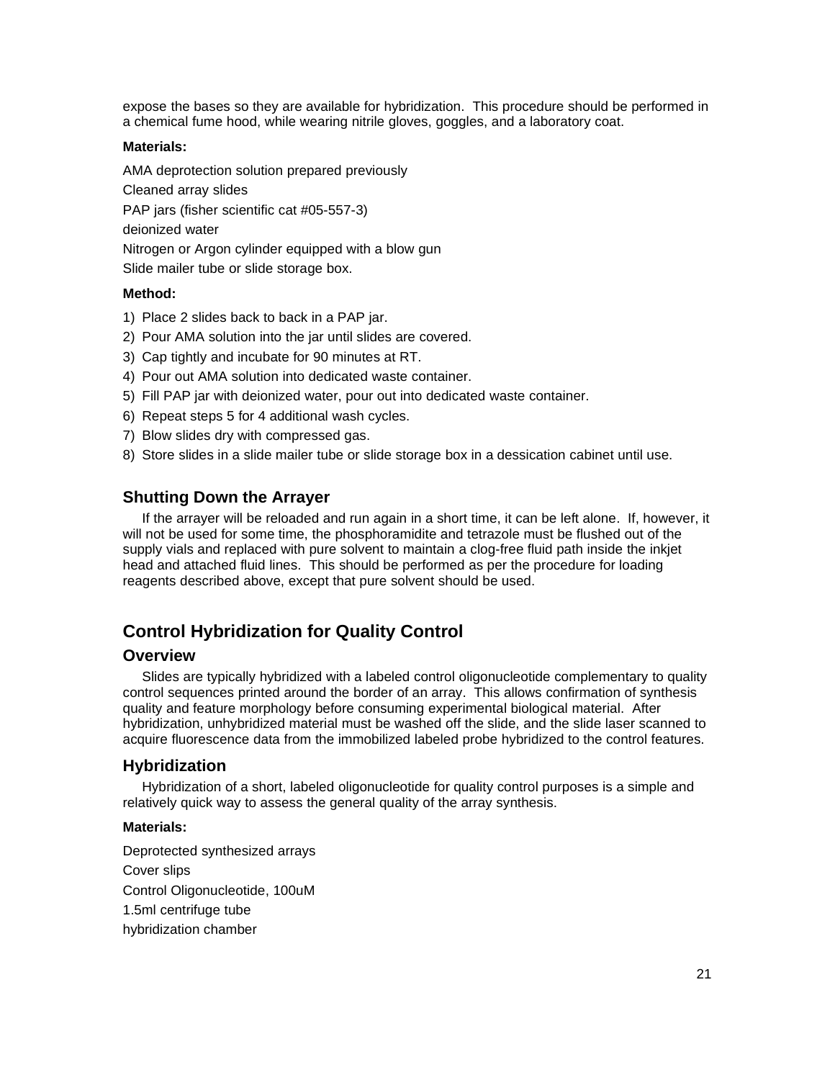expose the bases so they are available for hybridization. This procedure should be performed in a chemical fume hood, while wearing nitrile gloves, goggles, and a laboratory coat.

#### **Materials:**

AMA deprotection solution prepared previously Cleaned array slides PAP jars (fisher scientific cat #05-557-3) deionized water Nitrogen or Argon cylinder equipped with a blow gun Slide mailer tube or slide storage box.

#### **Method:**

- 1) Place 2 slides back to back in a PAP jar.
- 2) Pour AMA solution into the jar until slides are covered.
- 3) Cap tightly and incubate for 90 minutes at RT.
- 4) Pour out AMA solution into dedicated waste container.
- 5) Fill PAP jar with deionized water, pour out into dedicated waste container.
- 6) Repeat steps 5 for 4 additional wash cycles.
- 7) Blow slides dry with compressed gas.
- 8) Store slides in a slide mailer tube or slide storage box in a dessication cabinet until use.

#### **Shutting Down the Arrayer**

If the arrayer will be reloaded and run again in a short time, it can be left alone. If, however, it will not be used for some time, the phosphoramidite and tetrazole must be flushed out of the supply vials and replaced with pure solvent to maintain a clog-free fluid path inside the inkjet head and attached fluid lines. This should be performed as per the procedure for loading reagents described above, except that pure solvent should be used.

# **Control Hybridization for Quality Control**

#### **Overview**

Slides are typically hybridized with a labeled control oligonucleotide complementary to quality control sequences printed around the border of an array. This allows confirmation of synthesis quality and feature morphology before consuming experimental biological material. After hybridization, unhybridized material must be washed off the slide, and the slide laser scanned to acquire fluorescence data from the immobilized labeled probe hybridized to the control features.

#### **Hybridization**

Hybridization of a short, labeled oligonucleotide for quality control purposes is a simple and relatively quick way to assess the general quality of the array synthesis.

#### **Materials:**

Deprotected synthesized arrays Cover slips Control Oligonucleotide, 100uM 1.5ml centrifuge tube hybridization chamber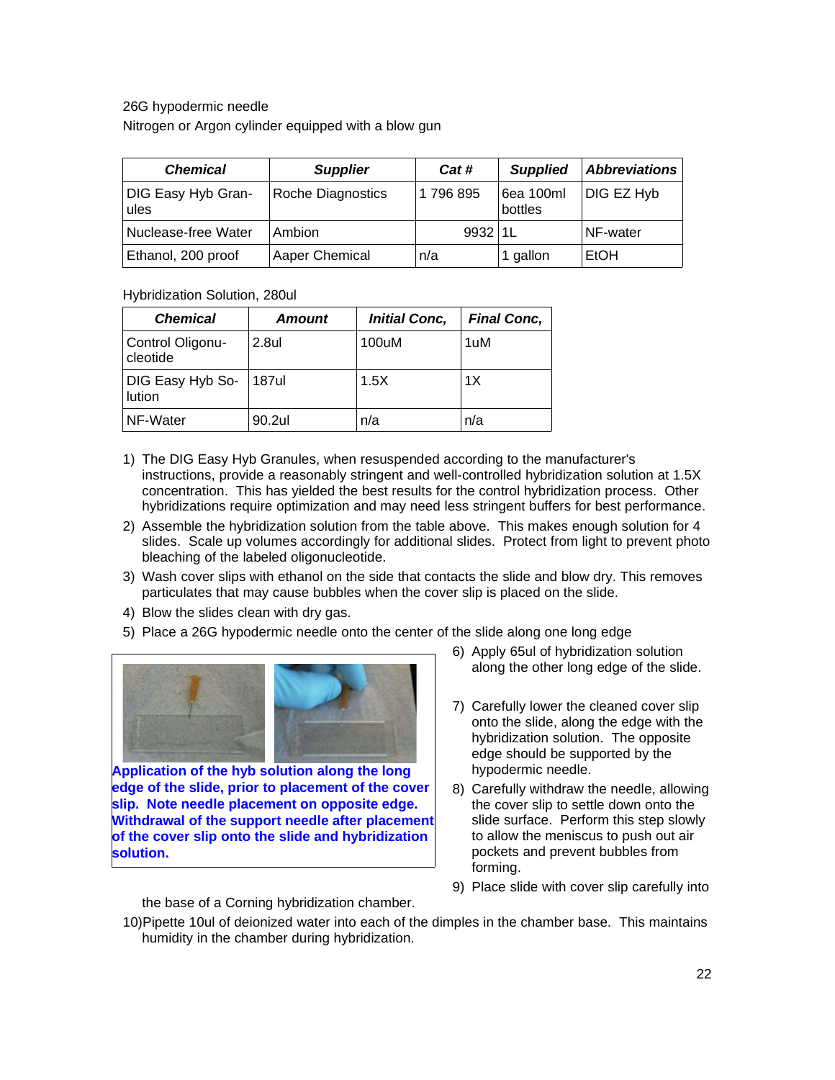26G hypodermic needle

Nitrogen or Argon cylinder equipped with a blow gun

| <b>Chemical</b>            | <b>Supplier</b>   | Cat #      | <b>Supplied</b>      | <b>Abbreviations</b> |
|----------------------------|-------------------|------------|----------------------|----------------------|
| DIG Easy Hyb Gran-<br>ules | Roche Diagnostics | 1796895    | 6ea 100ml<br>bottles | DIG EZ Hyb           |
| Nuclease-free Water        | Ambion            | $9932$  1L |                      | NF-water             |
| Ethanol, 200 proof         | Aaper Chemical    | n/a        | 1 gallon             | EtOH                 |

Hybridization Solution, 280ul

| <b>Chemical</b>              | <b>Amount</b> | <b>Initial Conc,</b> | <b>Final Conc,</b> |
|------------------------------|---------------|----------------------|--------------------|
| Control Oligonu-<br>cleotide | 2.8ul         | 100uM                | 1uM                |
| DIG Easy Hyb So-<br>lution   | 187ul         | 1.5X                 | 1X                 |
| NF-Water                     | 90.2ul        | n/a                  | n/a                |

- 1) The DIG Easy Hyb Granules, when resuspended according to the manufacturer's instructions, provide a reasonably stringent and well-controlled hybridization solution at 1.5X concentration. This has yielded the best results for the control hybridization process. Other hybridizations require optimization and may need less stringent buffers for best performance.
- 2) Assemble the hybridization solution from the table above. This makes enough solution for 4 slides. Scale up volumes accordingly for additional slides. Protect from light to prevent photo bleaching of the labeled oligonucleotide.
- 3) Wash cover slips with ethanol on the side that contacts the slide and blow dry. This removes particulates that may cause bubbles when the cover slip is placed on the slide.
- 4) Blow the slides clean with dry gas.
- 5) Place a 26G hypodermic needle onto the center of the slide along one long edge



**Application of the hyb solution along the long edge of the slide, prior to placement of the cover slip. Note needle placement on opposite edge. Withdrawal of the support needle after placement of the cover slip onto the slide and hybridization solution.**

- 6) Apply 65ul of hybridization solution along the other long edge of the slide.
- 7) Carefully lower the cleaned cover slip onto the slide, along the edge with the hybridization solution. The opposite edge should be supported by the hypodermic needle.
- 8) Carefully withdraw the needle, allowing the cover slip to settle down onto the slide surface. Perform this step slowly to allow the meniscus to push out air pockets and prevent bubbles from forming.
- 9) Place slide with cover slip carefully into

the base of a Corning hybridization chamber.

<sup>10)</sup>Pipette 10ul of deionized water into each of the dimples in the chamber base. This maintains humidity in the chamber during hybridization.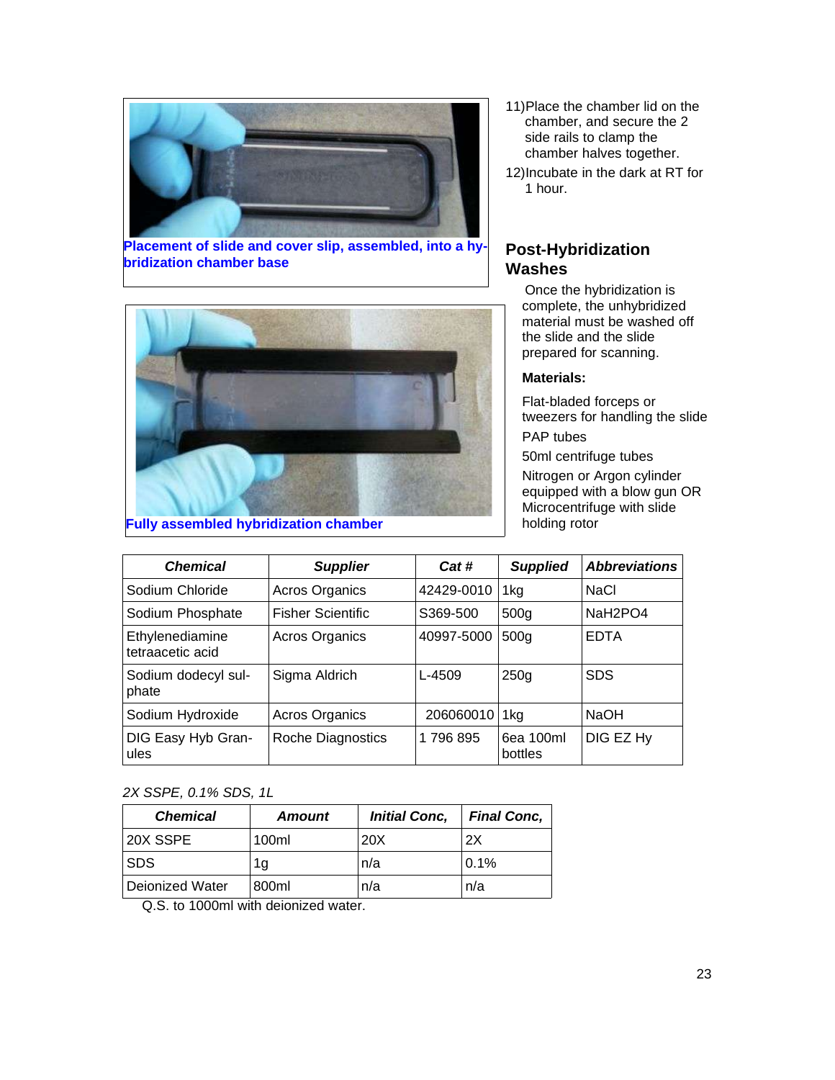

**Placement of slide and cover slip, assembled, into a hybridization chamber base**



**Fully assembled hybridization chamber**

- 11)Place the chamber lid on the chamber, and secure the 2 side rails to clamp the chamber halves together.
- 12)Incubate in the dark at RT for 1 hour.

# **Post-Hybridization Washes**

Once the hybridization is complete, the unhybridized material must be washed off the slide and the slide prepared for scanning.

#### **Materials:**

Flat-bladed forceps or tweezers for handling the slide

PAP tubes

50ml centrifuge tubes Nitrogen or Argon cylinder equipped with a blow gun OR Microcentrifuge with slide holding rotor

| <b>Chemical</b>                     | <b>Supplier</b>          | Cat#       | <b>Supplied</b>      | <b>Abbreviations</b>             |
|-------------------------------------|--------------------------|------------|----------------------|----------------------------------|
| Sodium Chloride                     | <b>Acros Organics</b>    | 42429-0010 | 1kg                  | NaCl                             |
| Sodium Phosphate                    | <b>Fisher Scientific</b> | S369-500   | 500 <sub>q</sub>     | NaH <sub>2</sub> PO <sub>4</sub> |
| Ethylenediamine<br>tetraacetic acid | Acros Organics           | 40997-5000 | 500 <sub>q</sub>     | <b>EDTA</b>                      |
| Sodium dodecyl sul-<br>phate        | Sigma Aldrich            | L-4509     | 250 <sub>q</sub>     | <b>SDS</b>                       |
| Sodium Hydroxide                    | Acros Organics           | 206060010  | 1ka                  | <b>NaOH</b>                      |
| DIG Easy Hyb Gran-<br>ules          | Roche Diagnostics        | 1796895    | 6ea 100ml<br>bottles | DIG EZ Hy                        |

#### 2X SSPE, 0.1% SDS, 1L

| <b>Chemical</b> | <b>Amount</b> | <b>Initial Conc,</b> | <b>Final Conc,</b> |
|-----------------|---------------|----------------------|--------------------|
| 20X SSPE        | 100ml         | 20X                  | 2X                 |
| <b>SDS</b>      | 1g            | n/a                  | 0.1%               |
| Deionized Water | 800ml         | n/a                  | n/a                |

Q.S. to 1000ml with deionized water.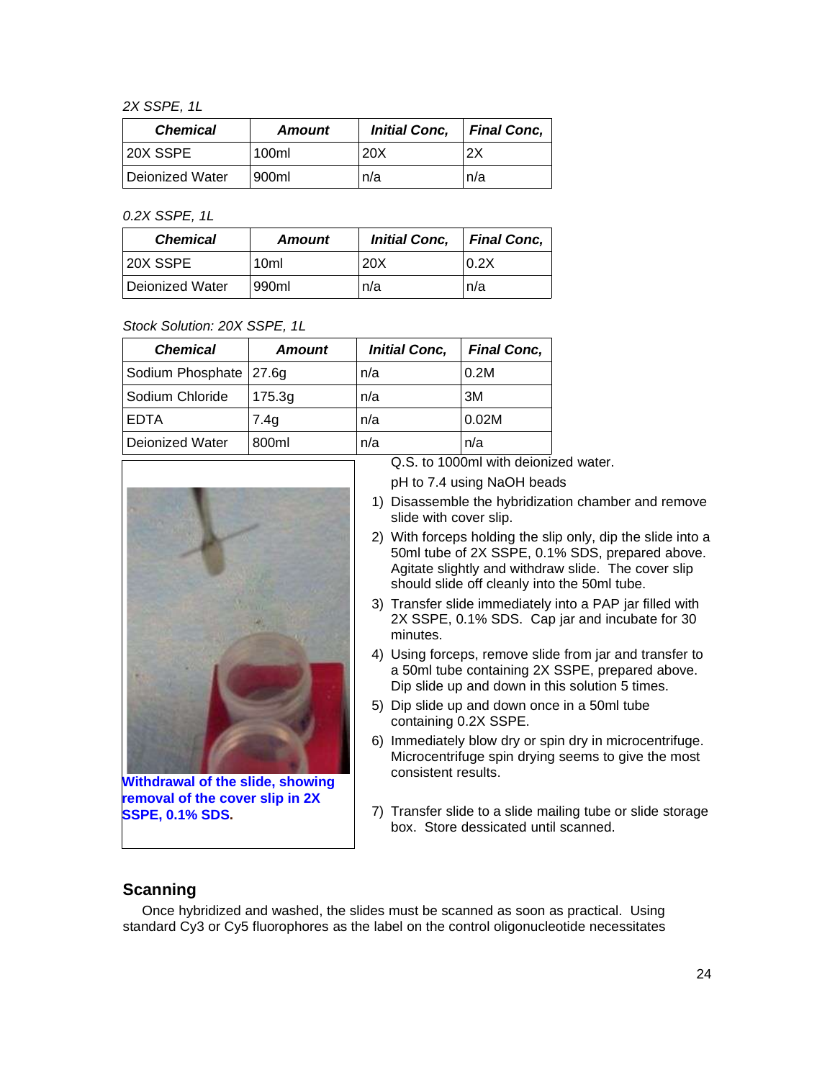2X SSPE, 1L

| <b>Chemical</b> | <b>Amount</b> | <b>Initial Conc,</b> | <b>Final Conc.</b> |
|-----------------|---------------|----------------------|--------------------|
| 20X SSPE        | 100ml         | 20X                  | 2X                 |
| Deionized Water | 900ml         | n/a                  | n/a                |

0.2X SSPE, 1L

| <b>Chemical</b> | <b>Amount</b>    | <b>Initial Conc.</b> | <b>Final Conc.</b> |
|-----------------|------------------|----------------------|--------------------|
| 20X SSPE        | 10 <sub>ml</sub> | 20X                  | 0.2X               |
| Deionized Water | 990ml            | n/a                  | n/a                |

#### Stock Solution: 20X SSPE, 1L

| <b>Chemical</b>  | <b>Amount</b> | <b>Initial Conc,</b> | <b>Final Conc,</b> |
|------------------|---------------|----------------------|--------------------|
| Sodium Phosphate | 27.6g         | n/a                  | 0.2M               |
| Sodium Chloride  | 175.3g        | n/a                  | 3M                 |
| EDTA             | 7.4q          | n/a                  | 0.02M              |
| Deionized Water  | 800ml         | n/a                  | n/a                |



**Withdrawal of the slide, showing removal of the cover slip in 2X SSPE, 0.1% SDS.**

Q.S. to 1000ml with deionized water.

pH to 7.4 using NaOH beads

- 1) Disassemble the hybridization chamber and remove slide with cover slip.
- 2) With forceps holding the slip only, dip the slide into a 50ml tube of 2X SSPE, 0.1% SDS, prepared above. Agitate slightly and withdraw slide. The cover slip should slide off cleanly into the 50ml tube.
- 3) Transfer slide immediately into a PAP jar filled with 2X SSPE, 0.1% SDS. Cap jar and incubate for 30 minutes.
- 4) Using forceps, remove slide from jar and transfer to a 50ml tube containing 2X SSPE, prepared above. Dip slide up and down in this solution 5 times.
- 5) Dip slide up and down once in a 50ml tube containing 0.2X SSPE.
- 6) Immediately blow dry or spin dry in microcentrifuge. Microcentrifuge spin drying seems to give the most consistent results.
- 7) Transfer slide to a slide mailing tube or slide storage box. Store dessicated until scanned.

### **Scanning**

Once hybridized and washed, the slides must be scanned as soon as practical. Using standard Cy3 or Cy5 fluorophores as the label on the control oligonucleotide necessitates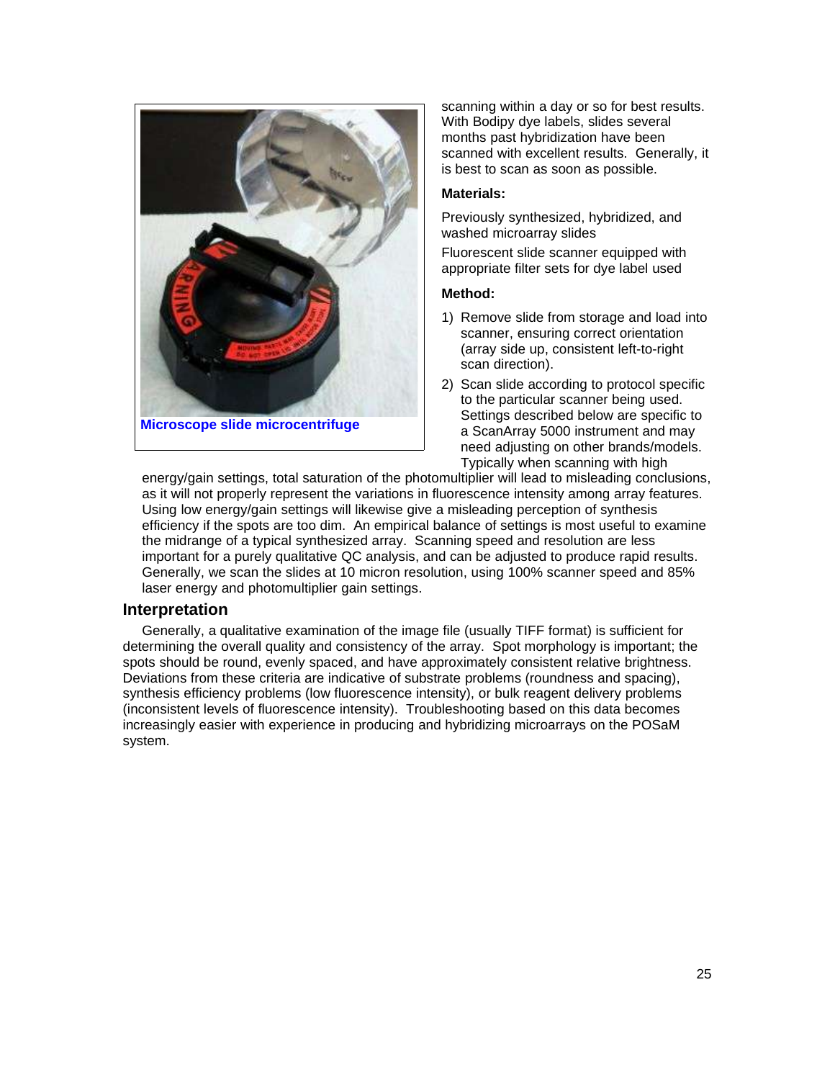

scanning within a day or so for best results. With Bodipy dye labels, slides several months past hybridization have been scanned with excellent results. Generally, it is best to scan as soon as possible.

#### **Materials:**

Previously synthesized, hybridized, and washed microarray slides

Fluorescent slide scanner equipped with appropriate filter sets for dye label used

#### **Method:**

- 1) Remove slide from storage and load into scanner, ensuring correct orientation (array side up, consistent left-to-right scan direction).
- 2) Scan slide according to protocol specific to the particular scanner being used. Settings described below are specific to a ScanArray 5000 instrument and may need adjusting on other brands/models. Typically when scanning with high

energy/gain settings, total saturation of the photomultiplier will lead to misleading conclusions, as it will not properly represent the variations in fluorescence intensity among array features. Using low energy/gain settings will likewise give a misleading perception of synthesis efficiency if the spots are too dim. An empirical balance of settings is most useful to examine the midrange of a typical synthesized array. Scanning speed and resolution are less important for a purely qualitative QC analysis, and can be adjusted to produce rapid results. Generally, we scan the slides at 10 micron resolution, using 100% scanner speed and 85% laser energy and photomultiplier gain settings.

#### **Interpretation**

Generally, a qualitative examination of the image file (usually TIFF format) is sufficient for determining the overall quality and consistency of the array. Spot morphology is important; the spots should be round, evenly spaced, and have approximately consistent relative brightness. Deviations from these criteria are indicative of substrate problems (roundness and spacing), synthesis efficiency problems (low fluorescence intensity), or bulk reagent delivery problems (inconsistent levels of fluorescence intensity). Troubleshooting based on this data becomes increasingly easier with experience in producing and hybridizing microarrays on the POSaM system.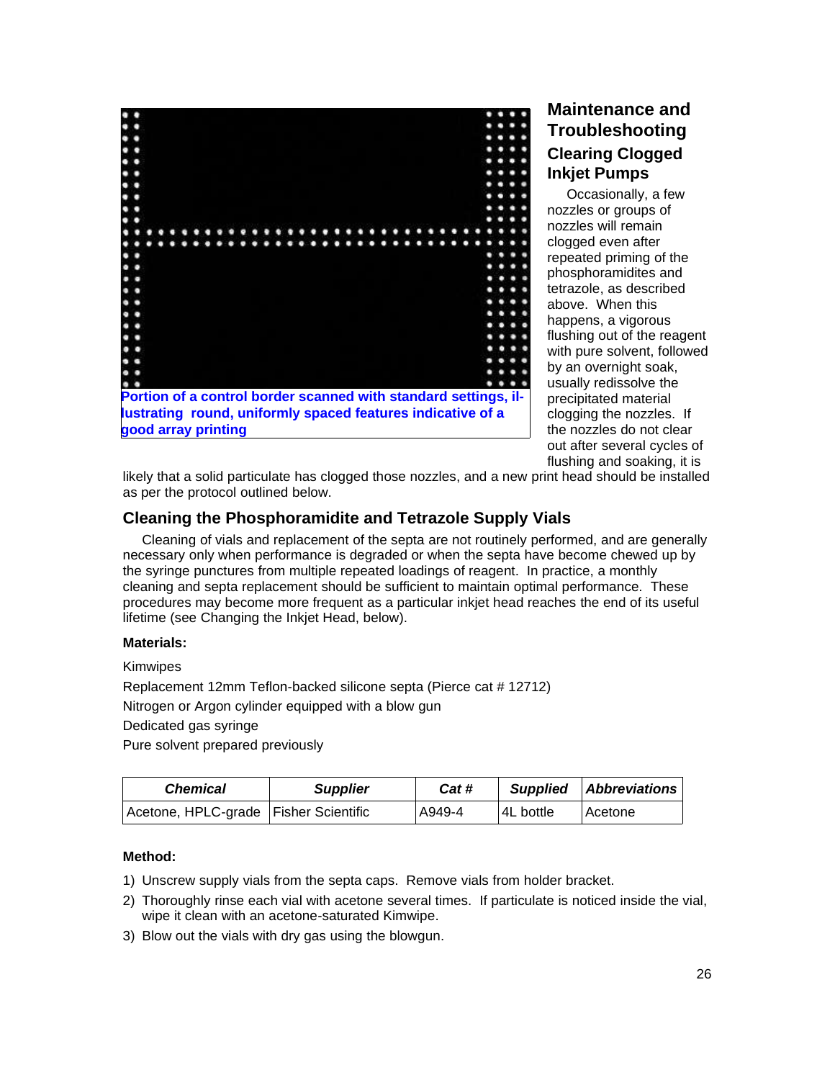

# **Maintenance and Troubleshooting Clearing Clogged Inkjet Pumps**

Occasionally, a few nozzles or groups of nozzles will remain clogged even after repeated priming of the phosphoramidites and tetrazole, as described above. When this happens, a vigorous flushing out of the reagent with pure solvent, followed by an overnight soak, usually redissolve the precipitated material clogging the nozzles. If the nozzles do not clear out after several cycles of flushing and soaking, it is

likely that a solid particulate has clogged those nozzles, and a new print head should be installed as per the protocol outlined below.

# **Cleaning the Phosphoramidite and Tetrazole Supply Vials**

Cleaning of vials and replacement of the septa are not routinely performed, and are generally necessary only when performance is degraded or when the septa have become chewed up by the syringe punctures from multiple repeated loadings of reagent. In practice, a monthly cleaning and septa replacement should be sufficient to maintain optimal performance. These procedures may become more frequent as a particular inkjet head reaches the end of its useful lifetime (see Changing the Inkjet Head, below).

#### **Materials:**

Kimwipes

Replacement 12mm Teflon-backed silicone septa (Pierce cat # 12712)

Nitrogen or Argon cylinder equipped with a blow gun

Dedicated gas syringe

Pure solvent prepared previously

| <b>Chemical</b>                         | <b>Supplier</b> | Cat #  | <b>Supplied</b> | <b>Abbreviations</b> |
|-----------------------------------------|-----------------|--------|-----------------|----------------------|
| Acetone, HPLC-grade   Fisher Scientific |                 | A949-4 | 4L bottle       | l Acetone⊹           |

- 1) Unscrew supply vials from the septa caps. Remove vials from holder bracket.
- 2) Thoroughly rinse each vial with acetone several times. If particulate is noticed inside the vial, wipe it clean with an acetone-saturated Kimwipe.
- 3) Blow out the vials with dry gas using the blowgun.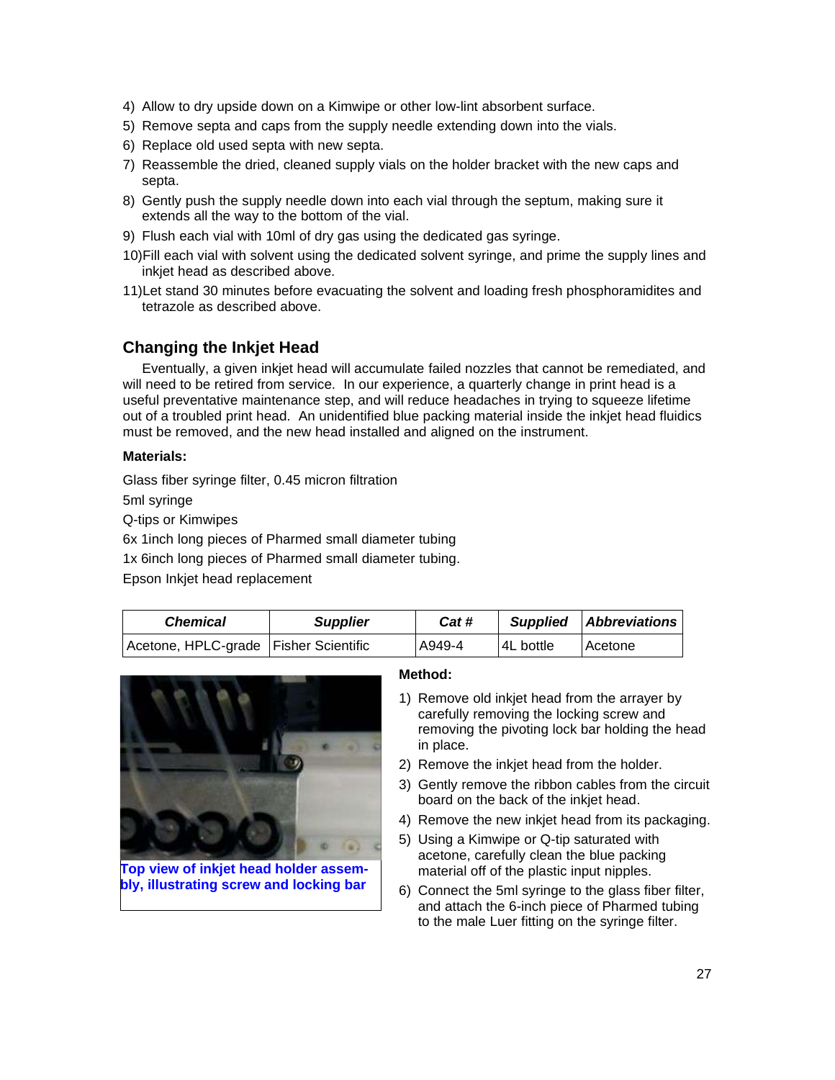- 4) Allow to dry upside down on a Kimwipe or other low-lint absorbent surface.
- 5) Remove septa and caps from the supply needle extending down into the vials.
- 6) Replace old used septa with new septa.
- 7) Reassemble the dried, cleaned supply vials on the holder bracket with the new caps and septa.
- 8) Gently push the supply needle down into each vial through the septum, making sure it extends all the way to the bottom of the vial.
- 9) Flush each vial with 10ml of dry gas using the dedicated gas syringe.
- 10)Fill each vial with solvent using the dedicated solvent syringe, and prime the supply lines and inkjet head as described above.
- 11)Let stand 30 minutes before evacuating the solvent and loading fresh phosphoramidites and tetrazole as described above.

# **Changing the Inkjet Head**

Eventually, a given inkjet head will accumulate failed nozzles that cannot be remediated, and will need to be retired from service. In our experience, a quarterly change in print head is a useful preventative maintenance step, and will reduce headaches in trying to squeeze lifetime out of a troubled print head. An unidentified blue packing material inside the inkjet head fluidics must be removed, and the new head installed and aligned on the instrument.

#### **Materials:**

Glass fiber syringe filter, 0.45 micron filtration

5ml syringe

Q-tips or Kimwipes

6x 1inch long pieces of Pharmed small diameter tubing

1x 6inch long pieces of Pharmed small diameter tubing.

Epson Inkjet head replacement

| <b>Chemical</b>                         | <b>Supplier</b> | Cat #  | <b>Supplied</b> | <b>Abbreviations</b> |
|-----------------------------------------|-----------------|--------|-----------------|----------------------|
| Acetone, HPLC-grade   Fisher Scientific |                 | A949-4 | 4L bottle       | Acetone              |



**Top view of inkjet head holder assembly, illustrating screw and locking bar**

- 1) Remove old inkjet head from the arrayer by carefully removing the locking screw and removing the pivoting lock bar holding the head in place.
- 2) Remove the inkjet head from the holder.
- 3) Gently remove the ribbon cables from the circuit board on the back of the inkjet head.
- 4) Remove the new inkjet head from its packaging.
- 5) Using a Kimwipe or Q-tip saturated with acetone, carefully clean the blue packing material off of the plastic input nipples.
- 6) Connect the 5ml syringe to the glass fiber filter, and attach the 6-inch piece of Pharmed tubing to the male Luer fitting on the syringe filter.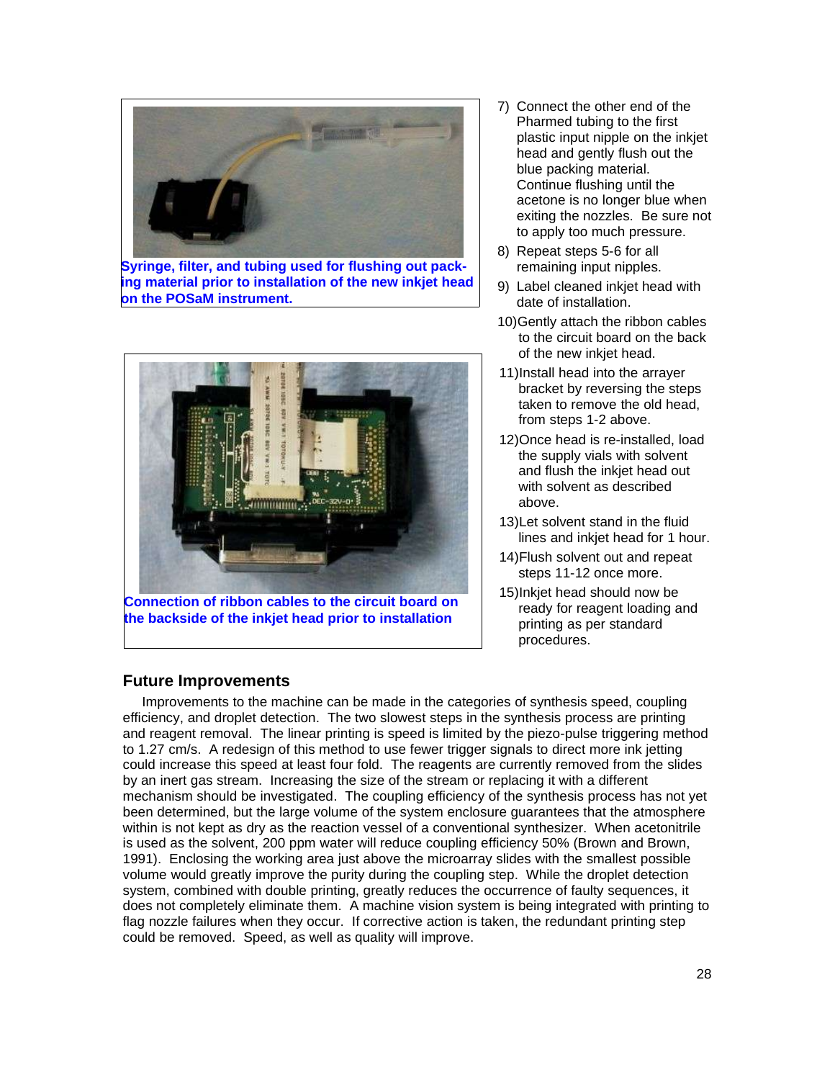

**Syringe, filter, and tubing used for flushing out packing material prior to installation of the new inkjet head on the POSaM instrument.**



**Connection of ribbon cables to the circuit board on the backside of the inkjet head prior to installation**

- 7) Connect the other end of the Pharmed tubing to the first plastic input nipple on the inkjet head and gently flush out the blue packing material. Continue flushing until the acetone is no longer blue when exiting the nozzles. Be sure not to apply too much pressure.
- 8) Repeat steps 5-6 for all remaining input nipples.
- 9) Label cleaned inkjet head with date of installation.
- 10)Gently attach the ribbon cables to the circuit board on the back of the new inkjet head.
- 11)Install head into the arrayer bracket by reversing the steps taken to remove the old head, from steps 1-2 above.
- 12)Once head is re-installed, load the supply vials with solvent and flush the inkjet head out with solvent as described above.
- 13)Let solvent stand in the fluid lines and inkjet head for 1 hour.
- 14)Flush solvent out and repeat steps 11-12 once more.
- 15)Inkjet head should now be ready for reagent loading and printing as per standard procedures.

# **Future Improvements**

Improvements to the machine can be made in the categories of synthesis speed, coupling efficiency, and droplet detection. The two slowest steps in the synthesis process are printing and reagent removal. The linear printing is speed is limited by the piezo-pulse triggering method to 1.27 cm/s. A redesign of this method to use fewer trigger signals to direct more ink jetting could increase this speed at least four fold. The reagents are currently removed from the slides by an inert gas stream. Increasing the size of the stream or replacing it with a different mechanism should be investigated. The coupling efficiency of the synthesis process has not yet been determined, but the large volume of the system enclosure guarantees that the atmosphere within is not kept as dry as the reaction vessel of a conventional synthesizer. When acetonitrile is used as the solvent, 200 ppm water will reduce coupling efficiency 50% (Brown and Brown, 1991). Enclosing the working area just above the microarray slides with the smallest possible volume would greatly improve the purity during the coupling step. While the droplet detection system, combined with double printing, greatly reduces the occurrence of faulty sequences, it does not completely eliminate them. A machine vision system is being integrated with printing to flag nozzle failures when they occur. If corrective action is taken, the redundant printing step could be removed. Speed, as well as quality will improve.